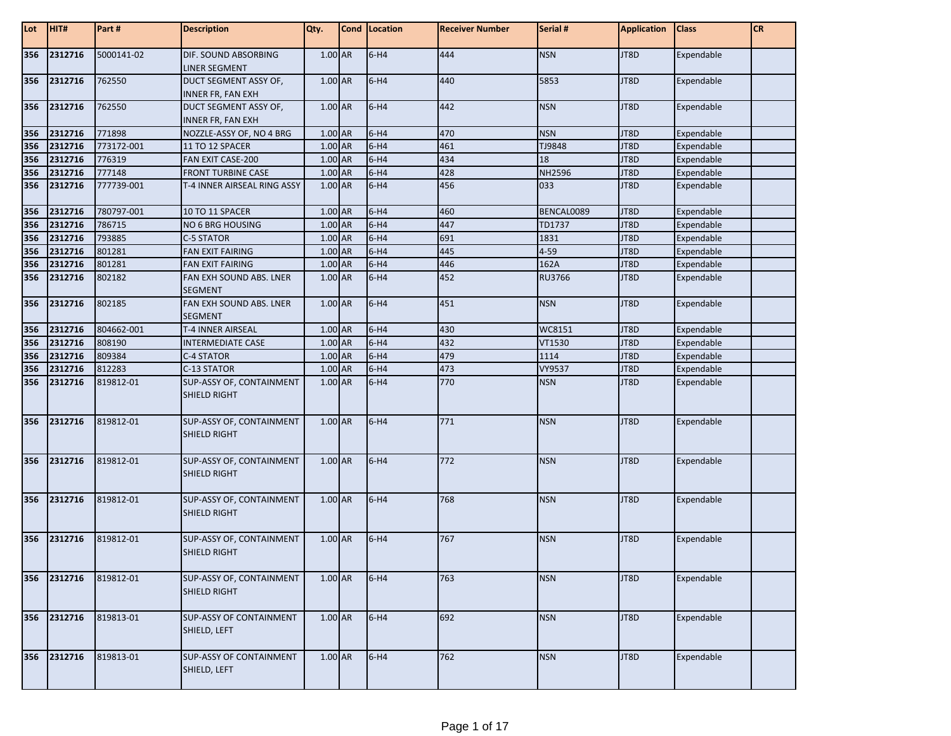| Lot | HIT#        | Part #     | <b>Description</b>                              | Qty.      | Cond   Location | <b>Receiver Number</b> | Serial #   | <b>Application</b> | <b>Class</b> | <b>CR</b> |
|-----|-------------|------------|-------------------------------------------------|-----------|-----------------|------------------------|------------|--------------------|--------------|-----------|
| 356 | 2312716     | 5000141-02 | DIF. SOUND ABSORBING<br>LINER SEGMENT           | 1.00 AR   | $6-H4$          | 444                    | <b>NSN</b> | JT8D               | Expendable   |           |
| 356 | 2312716     | 762550     | DUCT SEGMENT ASSY OF,<br>INNER FR, FAN EXH      | $1.00$ AR | $6-H4$          | 440                    | 5853       | JT8D               | Expendable   |           |
| 356 | 2312716     | 762550     | DUCT SEGMENT ASSY OF,<br>INNER FR, FAN EXH      | 1.00 AR   | $6-H4$          | 442                    | <b>NSN</b> | JT8D               | Expendable   |           |
| 356 | 2312716     | 771898     | NOZZLE-ASSY OF, NO 4 BRG                        | 1.00 AR   | $6-H4$          | 470                    | <b>NSN</b> | JT8D               | Expendable   |           |
| 356 | 2312716     | 773172-001 | 11 TO 12 SPACER                                 | $1.00$ AR | $6-H4$          | 461                    | TJ9848     | JT8D               | Expendable   |           |
| 356 | 2312716     | 776319     | FAN EXIT CASE-200                               | 1.00 AR   | $6-H4$          | 434                    | 18         | JT8D               | Expendable   |           |
| 356 | 2312716     | 777148     | <b>FRONT TURBINE CASE</b>                       | 1.00 AR   | $6-H4$          | 428                    | NH2596     | JT8D               | Expendable   |           |
| 356 | 2312716     | 777739-001 | T-4 INNER AIRSEAL RING ASSY                     | 1.00 AR   | $6-H4$          | 456                    | 033        | JT8D               | Expendable   |           |
| 356 | 2312716     | 780797-001 | 10 TO 11 SPACER                                 | 1.00 AR   | $6-H4$          | 460                    | BENCAL0089 | JT8D               | Expendable   |           |
| 356 | 2312716     | 786715     | NO 6 BRG HOUSING                                | 1.00 AR   | $6-H4$          | 447                    | TD1737     | JT8D               | Expendable   |           |
| 356 | 2312716     | 793885     | C-5 STATOR                                      | 1.00 AR   | $6-H4$          | 691                    | 1831       | JT8D               | Expendable   |           |
| 356 | 2312716     | 801281     | <b>FAN EXIT FAIRING</b>                         | 1.00 AR   | $6-H4$          | 445                    | $4 - 59$   | JT8D               | Expendable   |           |
| 356 | 2312716     | 801281     | FAN EXIT FAIRING                                | 1.00 AR   | $6-H4$          | 446                    | 162A       | JT8D               | Expendable   |           |
| 356 | 2312716     | 802182     | FAN EXH SOUND ABS. LNER<br>SEGMENT              | 1.00 AR   | $6-H4$          | 452                    | RU3766     | JT8D               | Expendable   |           |
| 356 | 2312716     | 802185     | FAN EXH SOUND ABS. LNER<br><b>SEGMENT</b>       | 1.00 AR   | $6-H4$          | 451                    | <b>NSN</b> | JT8D               | Expendable   |           |
| 356 | 2312716     | 804662-001 | T-4 INNER AIRSEAL                               | 1.00 AR   | $6-H4$          | 430                    | WC8151     | JT8D               | Expendable   |           |
| 356 | 2312716     | 808190     | <b>INTERMEDIATE CASE</b>                        | 1.00 AR   | $6-H4$          | 432                    | VT1530     | JT8D               | Expendable   |           |
| 356 | 2312716     | 809384     | C-4 STATOR                                      | 1.00 AR   | $6-H4$          | 479                    | 1114       | JT8D               | Expendable   |           |
| 356 | 2312716     | 812283     | C-13 STATOR                                     | 1.00 AR   | $6-H4$          | 473                    | VY9537     | JT8D               | Expendable   |           |
| 356 | 2312716     | 819812-01  | SUP-ASSY OF, CONTAINMENT<br>SHIELD RIGHT        | 1.00 AR   | $6-H4$          | 770                    | <b>NSN</b> | JT8D               | Expendable   |           |
| 356 | 2312716     | 819812-01  | SUP-ASSY OF, CONTAINMENT<br>SHIELD RIGHT        | 1.00 AR   | $6-H4$          | 771                    | <b>NSN</b> | JT8D               | Expendable   |           |
| 356 | 2312716     | 819812-01  | SUP-ASSY OF, CONTAINMENT<br>SHIELD RIGHT        | 1.00 AR   | $6-H4$          | 772                    | <b>NSN</b> | JT8D               | Expendable   |           |
| 356 | 2312716     | 819812-01  | SUP-ASSY OF, CONTAINMENT<br><b>SHIELD RIGHT</b> | 1.00 AR   | $6-H4$          | 768                    | <b>NSN</b> | JT8D               | Expendable   |           |
|     | 356 2312716 | 819812-01  | SUP-ASSY OF, CONTAINMENT<br>SHIELD RIGHT        | $1.00$ AR | $6-H4$          | 767                    | <b>NSN</b> | JT8D               | Expendable   |           |
| 356 | 2312716     | 819812-01  | SUP-ASSY OF, CONTAINMENT<br>SHIELD RIGHT        | 1.00 AR   | $6-H4$          | 763                    | <b>NSN</b> | JT8D               | Expendable   |           |
| 356 | 2312716     | 819813-01  | <b>SUP-ASSY OF CONTAINMENT</b><br>SHIELD, LEFT  | 1.00 AR   | $6-H4$          | 692                    | <b>NSN</b> | JT8D               | Expendable   |           |
| 356 | 2312716     | 819813-01  | <b>SUP-ASSY OF CONTAINMENT</b><br>SHIELD, LEFT  | 1.00 AR   | $6-H4$          | 762                    | <b>NSN</b> | JT8D               | Expendable   |           |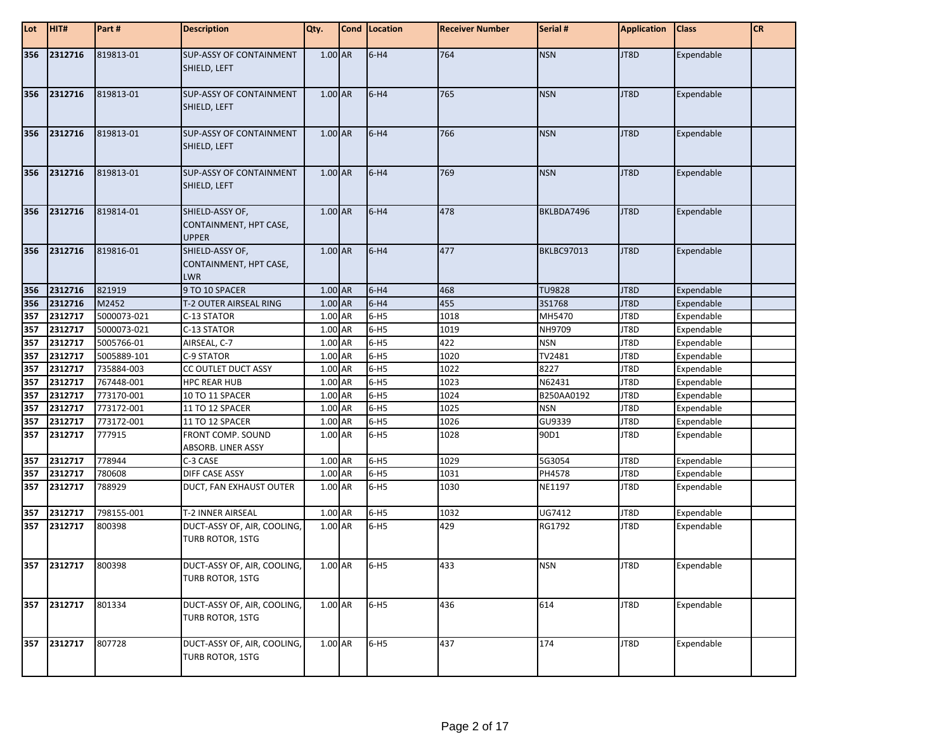| Lot | HIT#        | Part#       | <b>Description</b>                                        | Qty.    | Cond   Location | <b>Receiver Number</b> | Serial #          | <b>Application</b> | <b>Class</b>      | <b>CR</b> |
|-----|-------------|-------------|-----------------------------------------------------------|---------|-----------------|------------------------|-------------------|--------------------|-------------------|-----------|
| 356 | 2312716     | 819813-01   | <b>SUP-ASSY OF CONTAINMENT</b><br>SHIELD, LEFT            | 1.00 AR | $6-H4$          | 764                    | <b>NSN</b>        | JT8D               | Expendable        |           |
| 356 | 2312716     | 819813-01   | <b>SUP-ASSY OF CONTAINMENT</b><br>SHIELD, LEFT            | 1.00 AR | $6-H4$          | 765                    | <b>NSN</b>        | JT8D               | Expendable        |           |
| 356 | 2312716     | 819813-01   | <b>SUP-ASSY OF CONTAINMENT</b><br>SHIELD, LEFT            | 1.00 AR | $6-H4$          | 766                    | <b>NSN</b>        | JT8D               | Expendable        |           |
| 356 | 2312716     | 819813-01   | <b>SUP-ASSY OF CONTAINMENT</b><br>SHIELD, LEFT            | 1.00 AR | $6-H4$          | 769                    | <b>NSN</b>        | JT8D               | Expendable        |           |
| 356 | 2312716     | 819814-01   | SHIELD-ASSY OF,<br>CONTAINMENT, HPT CASE,<br><b>UPPER</b> | 1.00 AR | $6-H4$          | 478                    | BKLBDA7496        | JT8D               | Expendable        |           |
| 356 | 2312716     | 819816-01   | SHIELD-ASSY OF,<br>CONTAINMENT, HPT CASE,<br><b>LWR</b>   | 1.00 AR | $6-H4$          | 477                    | <b>BKLBC97013</b> | JT8D               | Expendable        |           |
| 356 | 2312716     | 821919      | 9 TO 10 SPACER                                            | 1.00 AR | $6-H4$          | 468                    | <b>TU9828</b>     | JT8D               | Expendable        |           |
| 356 | 2312716     | M2452       | T-2 OUTER AIRSEAL RING                                    | 1.00 AR | $6-H4$          | 455                    | 3S1768            | JT8D               | Expendable        |           |
| 357 | 2312717     | 5000073-021 | C-13 STATOR                                               | 1.00 AR | $6-H5$          | 1018                   | MH5470            | JT8D               | Expendable        |           |
| 357 | 2312717     | 5000073-021 | C-13 STATOR                                               | 1.00 AR | $6-H5$          | 1019                   | NH9709            | JT8D               | Expendable        |           |
| 357 | 2312717     | 5005766-01  | AIRSEAL, C-7                                              | 1.00 AR | $6-H5$          | 422                    | <b>NSN</b>        | JT8D               | Expendable        |           |
| 357 | 2312717     | 5005889-101 | C-9 STATOR                                                | 1.00 AR | $6-H5$          | 1020                   | TV2481            | JT8D               | Expendable        |           |
| 357 | 2312717     | 735884-003  | CC OUTLET DUCT ASSY                                       | 1.00 AR | $6-H5$          | 1022                   | 8227              | JT8D               | Expendable        |           |
| 357 | 2312717     | 767448-001  | <b>HPC REAR HUB</b>                                       | 1.00 AR | $6-H5$          | 1023                   | N62431            | JT8D               | Expendable        |           |
| 357 | 2312717     | 773170-001  | 10 TO 11 SPACER                                           | 1.00 AR | $6-H5$          | 1024                   | B250AA0192        | JT8D               | Expendable        |           |
| 357 | 2312717     | 773172-001  | 11 TO 12 SPACER                                           | 1.00 AR | $6-H5$          | 1025                   | <b>NSN</b>        | JT8D               | Expendable        |           |
| 357 | 2312717     | 773172-001  | 11 TO 12 SPACER                                           | 1.00 AR | $6-H5$          | 1026                   | GU9339            | JT8D               | Expendable        |           |
| 357 | 2312717     | 777915      | FRONT COMP. SOUND                                         | 1.00 AR | $6-H5$          | 1028                   | 90D1              | JT8D               | Expendable        |           |
|     |             |             | ABSORB. LINER ASSY                                        |         |                 |                        |                   |                    |                   |           |
| 357 | 2312717     | 778944      | C-3 CASE                                                  | 1.00 AR | $6-H5$          | 1029                   | 5G3054            | JT8D               | Expendable        |           |
| 357 | 2312717     | 780608      | DIFF CASE ASSY                                            | 1.00 AR | $6-H5$          | 1031                   | PH4578            | JT8D               | Expendable        |           |
| 357 | 2312717     | 788929      | DUCT, FAN EXHAUST OUTER                                   | 1.00 AR | $6-H5$          | 1030                   | NE1197            | JT8D               | Expendable        |           |
| 357 | 2312717     | 798155-001  | T-2 INNER AIRSEAL                                         | 1.00 AR | $6-H5$          | 1032                   | UG7412            | JT8D               | Expendable        |           |
| 357 | 2312717     | 800398      | DUCT-ASSY OF, AIR, COOLING,<br>TURB ROTOR, 1STG           | 1.00 AR | $6-H5$          | 429                    | RG1792            | JT8D               | Expendable        |           |
|     | 357 2312717 | 800398      | DUCT-ASSY OF, AIR, COOLING,<br>TURB ROTOR, 1STG           | 1.00 AR | $6-H5$          | 433                    | NSN               | JT8D               | <b>Expendable</b> |           |
|     | 357 2312717 | 801334      | DUCT-ASSY OF, AIR, COOLING,<br>TURB ROTOR, 1STG           | 1.00 AR | $6-H5$          | 436                    | 614               | JT8D               | Expendable        |           |
| 357 | 2312717     | 807728      | DUCT-ASSY OF, AIR, COOLING,<br>TURB ROTOR, 1STG           | 1.00 AR | $6-H5$          | 437                    | 174               | JT8D               | Expendable        |           |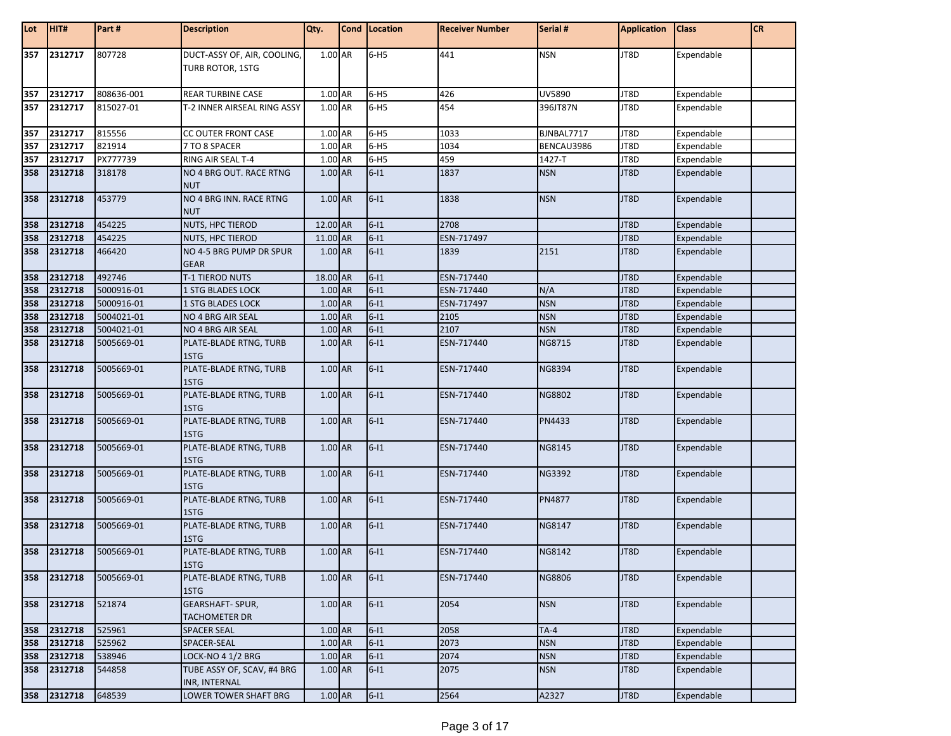| Lot | HIT#    | Part#      | <b>Description</b>                              | Qty.      | Cond Location | <b>Receiver Number</b> | Serial #      | <b>Application</b> | <b>Class</b> | CR |
|-----|---------|------------|-------------------------------------------------|-----------|---------------|------------------------|---------------|--------------------|--------------|----|
| 357 | 2312717 | 807728     | DUCT-ASSY OF, AIR, COOLING,<br>TURB ROTOR, 1STG | 1.00 AR   | $6-H5$        | 441                    | <b>NSN</b>    | JT8D               | Expendable   |    |
| 357 | 2312717 | 808636-001 | <b>REAR TURBINE CASE</b>                        | 1.00 AR   | $6-H5$        | 426                    | UV5890        | JT8D               | Expendable   |    |
| 357 | 2312717 | 815027-01  | T-2 INNER AIRSEAL RING ASSY                     | 1.00 AR   | $6-H5$        | 454                    | 396JT87N      | JT8D               | Expendable   |    |
| 357 | 2312717 | 815556     | CC OUTER FRONT CASE                             | $1.00$ AR | $6-H5$        | 1033                   | BJNBAL7717    | JT8D               | Expendable   |    |
| 357 | 2312717 | 821914     | 7 TO 8 SPACER                                   | 1.00 AR   | $6-H5$        | 1034                   | BENCAU3986    | JT8D               | Expendable   |    |
| 357 | 2312717 | PX777739   | RING AIR SEAL T-4                               | 1.00 AR   | $6-H5$        | 459                    | 1427-T        | JT8D               | Expendable   |    |
| 358 | 2312718 | 318178     | NO 4 BRG OUT. RACE RTNG<br><b>NUT</b>           | 1.00 AR   | $6-11$        | 1837                   | <b>NSN</b>    | JT8D               | Expendable   |    |
| 358 | 2312718 | 453779     | NO 4 BRG INN. RACE RTNG<br><b>NUT</b>           | 1.00 AR   | $6-11$        | 1838                   | <b>NSN</b>    | JT8D               | Expendable   |    |
| 358 | 2312718 | 454225     | NUTS, HPC TIEROD                                | 12.00 AR  | $6-11$        | 2708                   |               | JT8D               | Expendable   |    |
| 358 | 2312718 | 454225     | <b>NUTS, HPC TIEROD</b>                         | 11.00 AR  | $6-11$        | ESN-717497             |               | JT8D               | Expendable   |    |
| 358 | 2312718 | 466420     | NO 4-5 BRG PUMP DR SPUR<br><b>GEAR</b>          | 1.00 AR   | $6 - 11$      | 1839                   | 2151          | JT8D               | Expendable   |    |
| 358 | 2312718 | 492746     | T-1 TIEROD NUTS                                 | 18.00 AR  | $6-11$        | ESN-717440             |               | JT8D               | Expendable   |    |
| 358 | 2312718 | 5000916-01 | 1 STG BLADES LOCK                               | 1.00 AR   | $6-11$        | ESN-717440             | N/A           | JT8D               | Expendable   |    |
| 358 | 2312718 | 5000916-01 | <b>1 STG BLADES LOCK</b>                        | 1.00 AR   | $6-11$        | ESN-717497             | <b>NSN</b>    | JT8D               | Expendable   |    |
| 358 | 2312718 | 5004021-01 | NO 4 BRG AIR SEAL                               | 1.00 AR   | $6-11$        | 2105                   | <b>NSN</b>    | JT8D               | Expendable   |    |
| 358 | 2312718 | 5004021-01 | NO 4 BRG AIR SEAL                               | 1.00 AR   | $6-11$        | 2107                   | <b>NSN</b>    | JT8D               | Expendable   |    |
| 358 | 2312718 | 5005669-01 | PLATE-BLADE RTNG, TURB<br>1STG                  | 1.00 AR   | $6 - 11$      | ESN-717440             | NG8715        | JT8D               | Expendable   |    |
| 358 | 2312718 | 5005669-01 | PLATE-BLADE RTNG, TURB<br>1STG                  | 1.00 AR   | $6 - 11$      | ESN-717440             | NG8394        | JT8D               | Expendable   |    |
| 358 | 2312718 | 5005669-01 | PLATE-BLADE RTNG, TURB<br>1STG                  | 1.00 AR   | $6 - 11$      | ESN-717440             | <b>NG8802</b> | JT8D               | Expendable   |    |
| 358 | 2312718 | 5005669-01 | PLATE-BLADE RTNG, TURB<br>1STG                  | 1.00 AR   | $6-11$        | ESN-717440             | PN4433        | JT8D               | Expendable   |    |
| 358 | 2312718 | 5005669-01 | PLATE-BLADE RTNG, TURB<br>1STG                  | 1.00 AR   | $6 - 11$      | ESN-717440             | NG8145        | JT8D               | Expendable   |    |
| 358 | 2312718 | 5005669-01 | PLATE-BLADE RTNG, TURB<br>1STG                  | 1.00 AR   | $6-11$        | ESN-717440             | NG3392        | JT8D               | Expendable   |    |
| 358 | 2312718 | 5005669-01 | PLATE-BLADE RTNG, TURB<br>1STG                  | 1.00 AR   | $6 - 11$      | ESN-717440             | PN4877        | JT8D               | Expendable   |    |
| 358 | 2312718 | 5005669-01 | PLATE-BLADE RTNG, TURB<br>1STG                  | 1.00 AR   | $6-11$        | ESN-717440             | NG8147        | JT8D               | Expendable   |    |
| 358 | 2312718 | 5005669-01 | PLATE-BLADE RTNG, TURB<br>1STG                  | $1.00$ AR | $6-11$        | ESN-717440             | <b>NG8142</b> | JT8D               | Expendable   |    |
| 358 | 2312718 | 5005669-01 | PLATE-BLADE RTNG, TURB<br>1STG                  | 1.00 AR   | $6-11$        | ESN-717440             | <b>NG8806</b> | JT8D               | Expendable   |    |
| 358 | 2312718 | 521874     | <b>GEARSHAFT- SPUR,</b><br><b>TACHOMETER DR</b> | 1.00 AR   | $6-11$        | 2054                   | <b>NSN</b>    | JT8D               | Expendable   |    |
| 358 | 2312718 | 525961     | <b>SPACER SEAL</b>                              | 1.00 AR   | $6-11$        | 2058                   | $TA-4$        | JT8D               | Expendable   |    |
| 358 | 2312718 | 525962     | SPACER-SEAL                                     | 1.00 AR   | $6 - 11$      | 2073                   | <b>NSN</b>    | JT8D               | Expendable   |    |
| 358 | 2312718 | 538946     | LOCK-NO 4 1/2 BRG                               | 1.00 AR   | $6 - 11$      | 2074                   | <b>NSN</b>    | JT8D               | Expendable   |    |
| 358 | 2312718 | 544858     | TUBE ASSY OF, SCAV, #4 BRG                      | 1.00 AR   | $6 - 11$      | 2075                   | <b>NSN</b>    | JT8D               | Expendable   |    |
|     |         |            | <b>INR, INTERNAL</b>                            |           |               |                        |               |                    |              |    |
| 358 | 2312718 | 648539     | LOWER TOWER SHAFT BRG                           | $1.00$ AR | $6-11$        | 2564                   | A2327         | JT8D               | Expendable   |    |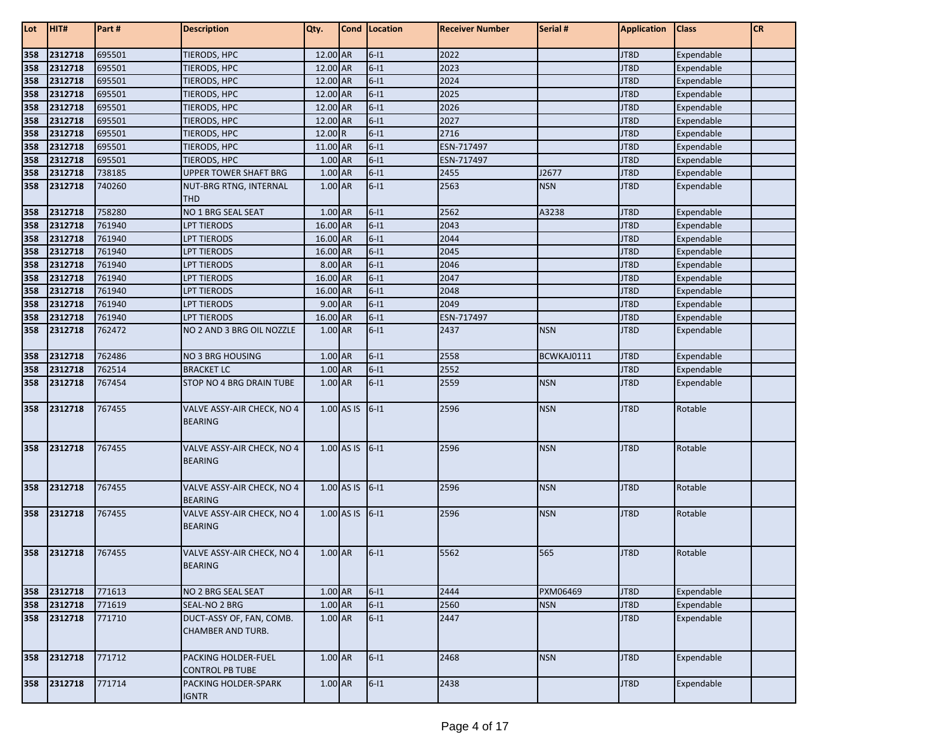| Lot        | HIT#               | Part#            | <b>Description</b>                                   | Qty.                 |              | Cond Location    | <b>Receiver Number</b> | Serial #   | <b>Application</b> | <b>Class</b>             | CR |
|------------|--------------------|------------------|------------------------------------------------------|----------------------|--------------|------------------|------------------------|------------|--------------------|--------------------------|----|
| 358        | 2312718            | 695501           | TIERODS, HPC                                         | 12.00 AR             |              | $6 - 11$         | 2022                   |            | JT8D               | Expendable               |    |
| 358        | 2312718            | 695501           | TIERODS, HPC                                         | 12.00 AR             |              | $6-11$           | 2023                   |            | JT8D               | Expendable               |    |
| 358        | 2312718            | 695501           | TIERODS, HPC                                         | 12.00 AR             |              | $6-11$           | 2024                   |            | JT8D               | Expendable               |    |
| 358        | 2312718            | 695501           | TIERODS, HPC                                         | 12.00 AR             |              | $6 - 11$         | 2025                   |            | JT8D               | Expendable               |    |
| 358        | 2312718            | 695501           | TIERODS, HPC                                         | 12.00 AR             |              | $6-11$           | 2026                   |            | JT8D               | Expendable               |    |
| 358        | 2312718            | 695501           | TIERODS, HPC                                         | 12.00 AR             |              | $6-11$           | 2027                   |            | JT8D               | Expendable               |    |
| 358        | 2312718            | 695501           | TIERODS, HPC                                         | 12.00 R              |              | $6-11$           | 2716                   |            | JT8D               | Expendable               |    |
| 358        | 2312718            | 695501           | TIERODS, HPC                                         | 11.00 AR             |              | $6-11$           | ESN-717497             |            | JT8D               | Expendable               |    |
| 358        | 2312718            | 695501           | TIERODS, HPC                                         | 1.00 AR              |              | $6-11$           | ESN-717497             |            | JT8D               | Expendable               |    |
| 358        | 2312718            | 738185           | <b>UPPER TOWER SHAFT BRG</b>                         | 1.00 AR              |              | $6 - 11$         | 2455                   | J2677      | JT8D               | Expendable               |    |
| 358        | 2312718            | 740260           | NUT-BRG RTNG, INTERNAL                               | 1.00 AR              |              | $6-11$           | 2563                   | <b>NSN</b> | JT8D               | Expendable               |    |
|            |                    |                  | <b>THD</b>                                           |                      |              |                  |                        |            |                    |                          |    |
| 358        | 2312718            | 758280           | NO 1 BRG SEAL SEAT                                   | $1.00$ AR            |              | $6-11$           | 2562                   | A3238      | JT8D               | Expendable               |    |
| 358        | 2312718            | 761940           | LPT TIERODS                                          | 16.00 AR             |              | $6-11$           | 2043                   |            | JT8D               | Expendable               |    |
| 358        | 2312718            | 761940           | <b>LPT TIERODS</b>                                   | 16.00 AR             |              | $6 - 11$         | 2044                   |            | JT8D               | Expendable               |    |
| 358        | 2312718            | 761940           | <b>LPT TIERODS</b>                                   | 16.00 AR             |              | $6-11$           | 2045                   |            | JT8D               | Expendable               |    |
| 358        | 2312718            | 761940           | <b>LPT TIERODS</b>                                   | 8.00 AR              |              | $6 - 11$         | 2046                   |            | JT8D               | Expendable               |    |
| 358<br>358 | 2312718<br>2312718 | 761940<br>761940 | <b>LPT TIERODS</b><br><b>LPT TIERODS</b>             | 16.00 AR<br>16.00 AR |              | $6-11$<br>$6-11$ | 2047<br>2048           |            | JT8D<br>JT8D       | Expendable               |    |
| 358        | 2312718            | 761940           | <b>LPT TIERODS</b>                                   | 9.00 AR              |              | $6-11$           | 2049                   |            | JT8D               | Expendable<br>Expendable |    |
| 358        | 2312718            | 761940           | <b>LPT TIERODS</b>                                   | 16.00 AR             |              | $6 - 11$         | ESN-717497             |            | JT8D               | Expendable               |    |
| 358        | 2312718            | 762472           | NO 2 AND 3 BRG OIL NOZZLE                            | 1.00 AR              |              | $6-11$           | 2437                   | <b>NSN</b> | JT8D               | Expendable               |    |
|            |                    |                  |                                                      |                      |              |                  |                        |            |                    |                          |    |
| 358        | 2312718            | 762486           | <b>NO 3 BRG HOUSING</b>                              | 1.00 AR              |              | $6-11$           | 2558                   | BCWKAJ0111 | JT8D               | Expendable               |    |
| 358        | 2312718            | 762514           | <b>BRACKET LC</b>                                    | 1.00 AR              |              | $6-11$           | 2552                   |            | JT8D               | Expendable               |    |
| 358        | 2312718            | 767454           | STOP NO 4 BRG DRAIN TUBE                             | 1.00 AR              |              | $6 - 11$         | 2559                   | <b>NSN</b> | JT8D               | Expendable               |    |
| 358        | 2312718            | 767455           | VALVE ASSY-AIR CHECK, NO 4<br><b>BEARING</b>         |                      | 1.00 AS IS   | $6-11$           | 2596                   | <b>NSN</b> | JT8D               | Rotable                  |    |
| 358        | 2312718            | 767455           | VALVE ASSY-AIR CHECK, NO 4<br><b>BEARING</b>         |                      | 1.00 AS IS   | $6 - 11$         | 2596                   | <b>NSN</b> | JT8D               | Rotable                  |    |
| 358        | 2312718            | 767455           | VALVE ASSY-AIR CHECK, NO 4<br><b>BEARING</b>         |                      | 1.00 AS IS   | $6-11$           | 2596                   | <b>NSN</b> | JT8D               | Rotable                  |    |
| 358        | 2312718            | 767455           | VALVE ASSY-AIR CHECK, NO 4<br><b>BEARING</b>         |                      | $1.00$ AS IS | $6 - 11$         | 2596                   | <b>NSN</b> | JT8D               | Rotable                  |    |
| 358        | 2312718            | 767455           | VALVE ASSY-AIR CHECK, NO 4<br><b>BEARING</b>         | 1.00 AR              |              | $6 - 11$         | 5562                   | 565        | JT8D               | Rotable                  |    |
| 358        | 2312718            | 771613           | NO 2 BRG SEAL SEAT                                   | 1.00 AR              |              | $6-11$           | 2444                   | PXM06469   | JT8D               | Expendable               |    |
| 358        | 2312718            | 771619           | SEAL-NO 2 BRG                                        | 1.00 AR              |              | $6 - 11$         | 2560                   | <b>NSN</b> | JT8D               | Expendable               |    |
| 358        | 2312718            | 771710           | DUCT-ASSY OF, FAN, COMB.<br><b>CHAMBER AND TURB.</b> | 1.00 AR              |              | $6 - 11$         | 2447                   |            | JT8D               | Expendable               |    |
| 358        | 2312718            | 771712           | PACKING HOLDER-FUEL<br><b>CONTROL PB TUBE</b>        | 1.00 AR              |              | $6-11$           | 2468                   | <b>NSN</b> | JT8D               | Expendable               |    |
| 358        | 2312718            | 771714           | <b>PACKING HOLDER-SPARK</b><br><b>IGNTR</b>          | 1.00 AR              |              | $6 - 11$         | 2438                   |            | JT8D               | Expendable               |    |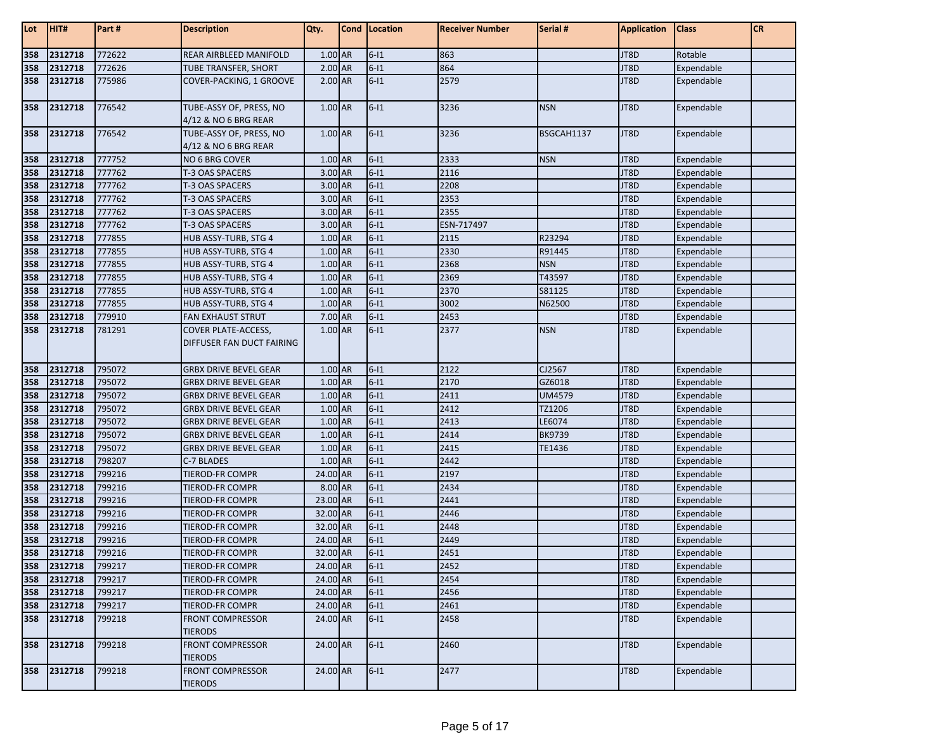| Lot | HIT#        | Part#  | <b>Description</b>                                      | Qty.      | Cond Location | <b>Receiver Number</b> | Serial #      | <b>Application</b> | <b>Class</b> | <b>CR</b> |
|-----|-------------|--------|---------------------------------------------------------|-----------|---------------|------------------------|---------------|--------------------|--------------|-----------|
| 358 | 2312718     | 772622 | REAR AIRBLEED MANIFOLD                                  | 1.00 AR   | $6-11$        | 863                    |               | JT8D               | Rotable      |           |
| 358 | 2312718     | 772626 | <b>TUBE TRANSFER, SHORT</b>                             | 2.00 AR   | $6-11$        | 864                    |               | JT8D               | Expendable   |           |
| 358 | 2312718     | 775986 | COVER-PACKING, 1 GROOVE                                 | 2.00 AR   | $6 - 11$      | 2579                   |               | JT8D               | Expendable   |           |
| 358 | 2312718     | 776542 | TUBE-ASSY OF, PRESS, NO<br>4/12 & NO 6 BRG REAR         | 1.00 AR   | $6 - 11$      | 3236                   | <b>NSN</b>    | JT8D               | Expendable   |           |
| 358 | 2312718     | 776542 | TUBE-ASSY OF, PRESS, NO<br>4/12 & NO 6 BRG REAR         | 1.00 AR   | $6-11$        | 3236                   | BSGCAH1137    | JT8D               | Expendable   |           |
| 358 | 2312718     | 777752 | <b>NO 6 BRG COVER</b>                                   | 1.00 AR   | $6-11$        | 2333                   | <b>NSN</b>    | JT8D               | Expendable   |           |
| 358 | 2312718     | 777762 | T-3 OAS SPACERS                                         | 3.00 AR   | $6-11$        | 2116                   |               | JT8D               | Expendable   |           |
| 358 | 2312718     | 777762 | T-3 OAS SPACERS                                         | 3.00 AR   | $6-11$        | 2208                   |               | JT8D               | Expendable   |           |
| 358 | 2312718     | 777762 | T-3 OAS SPACERS                                         | 3.00 AR   | $6-11$        | 2353                   |               | JT8D               | Expendable   |           |
| 358 | 2312718     | 777762 | T-3 OAS SPACERS                                         | 3.00 AR   | $6-11$        | 2355                   |               | JT8D               | Expendable   |           |
| 358 | 2312718     | 777762 | T-3 OAS SPACERS                                         | 3.00 AR   | $6-11$        | ESN-717497             |               | JT8D               | Expendable   |           |
| 358 | 2312718     | 777855 | HUB ASSY-TURB, STG 4                                    | 1.00 AR   | $6-11$        | 2115                   | R23294        | JT8D               | Expendable   |           |
| 358 | 2312718     | 777855 | HUB ASSY-TURB, STG 4                                    | 1.00 AR   | $6-11$        | 2330                   | R91445        | JT8D               | Expendable   |           |
| 358 | 2312718     | 777855 | HUB ASSY-TURB, STG 4                                    | 1.00 AR   | $6-11$        | 2368                   | <b>NSN</b>    | JT8D               | Expendable   |           |
| 358 | 2312718     | 777855 | HUB ASSY-TURB, STG 4                                    | $1.00$ AR | $6-11$        | 2369                   | T43597        | JT8D               | Expendable   |           |
| 358 | 2312718     | 777855 | HUB ASSY-TURB, STG 4                                    | 1.00 AR   | $6-11$        | 2370                   | S81125        | JT8D               | Expendable   |           |
| 358 | 2312718     | 777855 | HUB ASSY-TURB, STG 4                                    | 1.00 AR   | $6-11$        | 3002                   | N62500        | JT8D               | Expendable   |           |
| 358 | 2312718     | 779910 | <b>FAN EXHAUST STRUT</b>                                | 7.00 AR   | $6-11$        | 2453                   |               | JT8D               | Expendable   |           |
| 358 | 2312718     | 781291 | <b>COVER PLATE-ACCESS,</b><br>DIFFUSER FAN DUCT FAIRING | 1.00 AR   | $6-11$        | 2377                   | <b>NSN</b>    | JT8D               | Expendable   |           |
| 358 | 2312718     | 795072 | <b>GRBX DRIVE BEVEL GEAR</b>                            | 1.00 AR   | $6-11$        | 2122                   | CJ2567        | JT8D               | Expendable   |           |
| 358 | 2312718     | 795072 | <b>GRBX DRIVE BEVEL GEAR</b>                            | 1.00 AR   | $6 - 11$      | 2170                   | GZ6018        | JT8D               | Expendable   |           |
| 358 | 2312718     | 795072 | <b>GRBX DRIVE BEVEL GEAR</b>                            | 1.00 AR   | $6-11$        | 2411                   | <b>UM4579</b> | JT8D               | Expendable   |           |
| 358 | 2312718     | 795072 | <b>GRBX DRIVE BEVEL GEAR</b>                            | 1.00 AR   | $6-11$        | 2412                   | TZ1206        | JT8D               | Expendable   |           |
| 358 | 2312718     | 795072 | <b>GRBX DRIVE BEVEL GEAR</b>                            | 1.00 AR   | $6-11$        | 2413                   | LE6074        | JT8D               | Expendable   |           |
| 358 | 2312718     | 795072 | <b>GRBX DRIVE BEVEL GEAR</b>                            | 1.00 AR   | $6-11$        | 2414                   | <b>BK9739</b> | JT8D               | Expendable   |           |
| 358 | 2312718     | 795072 | <b>GRBX DRIVE BEVEL GEAR</b>                            | 1.00 AR   | $6-11$        | 2415                   | TE1436        | JT8D               | Expendable   |           |
| 358 | 2312718     | 798207 | C-7 BLADES                                              | 1.00 AR   | $6-11$        | 2442                   |               | JT8D               | Expendable   |           |
| 358 | 2312718     | 799216 | <b>TIEROD-FR COMPR</b>                                  | 24.00 AR  | $6-11$        | 2197                   |               | JT8D               | Expendable   |           |
| 358 | 2312718     | 799216 | TIEROD-FR COMPR                                         | 8.00 AR   | $6-11$        | 2434                   |               | JT8D               | Expendable   |           |
| 358 | 2312718     | 799216 | TIEROD-FR COMPR                                         | 23.00 AR  | $6-11$        | 2441                   |               | JT8D               | Expendable   |           |
| 358 | 2312718     | 799216 | <b>TIEROD-FR COMPR</b>                                  | 32.00 AR  | $6 - 11$      | 2446                   |               | JT8D               | Expendable   |           |
| 358 | 2312718     | 799216 | <b>TIEROD-FR COMPR</b>                                  | 32.00 AR  | $6 - 11$      | 2448                   |               | JT8D               | Expendable   |           |
| 358 | 2312718     | 799216 | <b>TIEROD-FR COMPR</b>                                  | 24.00 AR  | $6-11$        | 2449                   |               | JT8D               | Expendable   |           |
| 358 | 2312718     | 799216 | TIEROD-FR COMPR                                         | 32.00 AR  | $6-11$        | 2451                   |               | JT8D               | Expendable   |           |
| 358 | 2312718     | 799217 | <b>TIEROD-FR COMPR</b>                                  | 24.00 AR  | $6 - 11$      | 2452                   |               | JT8D               | Expendable   |           |
| 358 | 2312718     | 799217 | <b>TIEROD-FR COMPR</b>                                  | 24.00 AR  | $6-11$        | 2454                   |               | JT8D               | Expendable   |           |
|     | 358 2312718 | 799217 | TIEROD-FR COMPR                                         | 24.00 AR  | $6-11$        | 2456                   |               | JT8D               | Expendable   |           |
| 358 | 2312718     | 799217 | TIEROD-FR COMPR                                         | 24.00 AR  | $6-11$        | 2461                   |               | JT8D               | Expendable   |           |
| 358 | 2312718     | 799218 | <b>FRONT COMPRESSOR</b><br><b>TIERODS</b>               | 24.00 AR  | $6 - 11$      | 2458                   |               | JT8D               | Expendable   |           |
| 358 | 2312718     | 799218 | <b>FRONT COMPRESSOR</b><br><b>TIERODS</b>               | 24.00 AR  | $6 - 11$      | 2460                   |               | JT8D               | Expendable   |           |
| 358 | 2312718     | 799218 | <b>FRONT COMPRESSOR</b><br><b>TIERODS</b>               | 24.00 AR  | $6-11$        | 2477                   |               | JT8D               | Expendable   |           |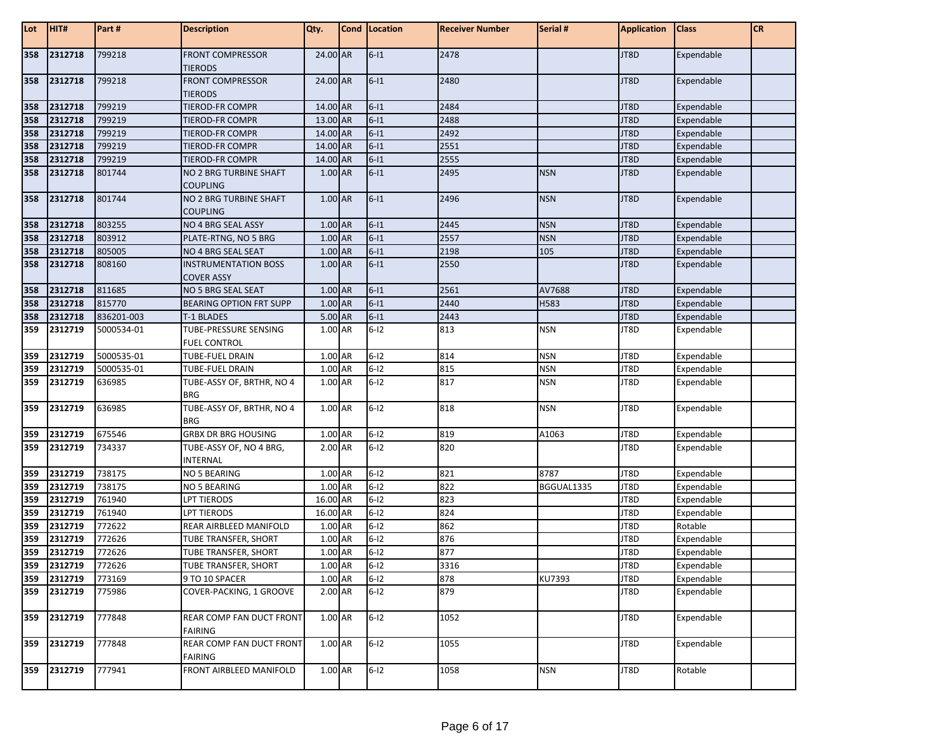| Lot | HIT#        | Part#      | <b>Description</b>                               | Qty.     |                 | Cond   Location | <b>Receiver Number</b> | Serial #   | <b>Application</b> | <b>Class</b> | <b>CR</b> |
|-----|-------------|------------|--------------------------------------------------|----------|-----------------|-----------------|------------------------|------------|--------------------|--------------|-----------|
| 358 | 2312718     | 799218     | <b>FRONT COMPRESSOR</b><br><b>TIERODS</b>        | 24.00 AR |                 | $6-11$          | 2478                   |            | JT8D               | Expendable   |           |
| 358 | 2312718     | 799218     | <b>FRONT COMPRESSOR</b><br><b>TIERODS</b>        | 24.00 AR |                 | $6-11$          | 2480                   |            | JT8D               | Expendable   |           |
| 358 | 2312718     | 799219     | TIEROD-FR COMPR                                  | 14.00 AR |                 | $6-11$          | 2484                   |            | JT8D               | Expendable   |           |
| 358 | 2312718     | 799219     | TIEROD-FR COMPR                                  | 13.00 AR |                 | $6-11$          | 2488                   |            | JT8D               | Expendable   |           |
| 358 | 2312718     | 799219     | TIEROD-FR COMPR                                  | 14.00 AR |                 | $6-11$          | 2492                   |            | JT8D               | Expendable   |           |
| 358 | 2312718     | 799219     | TIEROD-FR COMPR                                  | 14.00 AR |                 | $6-11$          | 2551                   |            | JT8D               | Expendable   |           |
| 358 | 2312718     | 799219     | TIEROD-FR COMPR                                  | 14.00 AR |                 | $6-11$          | 2555                   |            | JT8D               | Expendable   |           |
| 358 | 2312718     | 801744     | NO 2 BRG TURBINE SHAFT<br><b>COUPLING</b>        | 1.00 AR  |                 | $6-11$          | 2495                   | <b>NSN</b> | JT8D               | Expendable   |           |
| 358 | 2312718     | 801744     | NO 2 BRG TURBINE SHAFT<br><b>COUPLING</b>        | 1.00 AR  |                 | $6 - 11$        | 2496                   | <b>NSN</b> | JT8D               | Expendable   |           |
| 358 | 2312718     | 803255     | NO 4 BRG SEAL ASSY                               | 1.00 AR  |                 | $6 - 11$        | 2445                   | <b>NSN</b> | JT8D               | Expendable   |           |
| 358 | 2312718     | 803912     | PLATE-RTNG, NO 5 BRG                             | 1.00 AR  |                 | $6-11$          | 2557                   | <b>NSN</b> | JT8D               | Expendable   |           |
| 358 | 2312718     | 805005     | NO 4 BRG SEAL SEAT                               | 1.00 AR  |                 | $6-11$          | 2198                   | 105        | JT8D               | Expendable   |           |
| 358 | 2312718     | 808160     | <b>INSTRUMENTATION BOSS</b><br><b>COVER ASSY</b> | 1.00 AR  |                 | $6 - 11$        | 2550                   |            | JT8D               | Expendable   |           |
| 358 | 2312718     | 811685     | NO 5 BRG SEAL SEAT                               | 1.00 AR  |                 | $6-11$          | 2561                   | AV7688     | JT8D               | Expendable   |           |
| 358 | 2312718     | 815770     | <b>BEARING OPTION FRT SUPP</b>                   | 1.00 AR  |                 | $6-11$          | 2440                   | H583       | JT8D               | Expendable   |           |
| 358 | 2312718     | 836201-003 | <b>T-1 BLADES</b>                                | 5.00 AR  |                 | $6 - 11$        | 2443                   |            | JT8D               | Expendable   |           |
| 359 | 2312719     | 5000534-01 | TUBE-PRESSURE SENSING<br><b>FUEL CONTROL</b>     | 1.00 AR  |                 | $6 - 12$        | 813                    | <b>NSN</b> | JT8D               | Expendable   |           |
| 359 | 2312719     | 5000535-01 | TUBE-FUEL DRAIN                                  | 1.00 AR  |                 | $6-12$          | 814                    | <b>NSN</b> | JT8D               | Expendable   |           |
| 359 | 2312719     | 5000535-01 | TUBE-FUEL DRAIN                                  | 1.00 AR  |                 | $6-12$          | 815                    | <b>NSN</b> | JT8D               | Expendable   |           |
| 359 | 2312719     | 636985     | TUBE-ASSY OF, BRTHR, NO 4<br><b>BRG</b>          | 1.00 AR  |                 | $6 - 12$        | 817                    | <b>NSN</b> | JT8D               | Expendable   |           |
| 359 | 2312719     | 636985     | TUBE-ASSY OF, BRTHR, NO 4<br><b>BRG</b>          | 1.00 AR  |                 | $6 - 12$        | 818                    | <b>NSN</b> | JT8D               | Expendable   |           |
| 359 | 2312719     | 675546     | <b>GRBX DR BRG HOUSING</b>                       | 1.00 AR  |                 | $6-12$          | 819                    | A1063      | JT8D               | Expendable   |           |
| 359 | 2312719     | 734337     | TUBE-ASSY OF, NO 4 BRG,<br><b>INTERNAL</b>       | 2.00 AR  |                 | $6-12$          | 820                    |            | JT8D               | Expendable   |           |
| 359 | 2312719     | 738175     | <b>NO 5 BEARING</b>                              | 1.00 AR  |                 | $6-12$          | 821                    | 8787       | JT8D               | Expendable   |           |
| 359 | 2312719     | 738175     | NO 5 BEARING                                     | 1.00 AR  |                 | $6-12$          | 822                    | BGGUAL1335 | JT8D               | Expendable   |           |
| 359 | 2312719     | 761940     | LPT TIERODS                                      | 16.00 AR |                 | $6-12$          | 823                    |            | JT8D               | Expendable   |           |
| 359 | 2312719     | 761940     | LPT TIERODS                                      | 16.00 AR |                 | $6-12$          | 824                    |            | JT8D               | Expendable   |           |
| 359 | 2312719     | 772622     | REAR AIRBLEED MANIFOLD                           | 1.00 AR  |                 | $6-12$          | 862                    |            | JT8D               | Rotable      |           |
| 359 | 2312719     | 772626     | TUBE TRANSFER, SHORT                             | 1.00     | AR <sub>1</sub> | $6-12$          | 876                    |            | JT8D               | Expendable   |           |
| 359 | 2312719     | 772626     | TUBE TRANSFER, SHORT                             | 1.00 AR  |                 | $6-12$          | 877                    |            | JT8D               | Expendable   |           |
|     | 359 2312719 | 772626     | TUBE TRANSFER, SHORT                             | 1.00 AR  |                 | $6 - 12$        | 3316                   |            | JT8D               | Expendable   |           |
|     | 359 2312719 | 773169     | 9 TO 10 SPACER                                   | 1.00 AR  |                 | $6-12$          | 878                    | KU7393     | JT8D               | Expendable   |           |
|     | 359 2312719 | 775986     | COVER-PACKING, 1 GROOVE                          | 2.00 AR  |                 | $6-12$          | 879                    |            | JT8D               | Expendable   |           |
| 359 | 2312719     | 777848     | REAR COMP FAN DUCT FRONT<br><b>FAIRING</b>       | 1.00 AR  |                 | $6-12$          | 1052                   |            | JT8D               | Expendable   |           |
| 359 | 2312719     | 777848     | REAR COMP FAN DUCT FRONT<br><b>FAIRING</b>       | 1.00 AR  |                 | $6-12$          | 1055                   |            | JT8D               | Expendable   |           |
|     | 359 2312719 | 777941     | FRONT AIRBLEED MANIFOLD                          | 1.00 AR  |                 | $6 - 12$        | 1058                   | <b>NSN</b> | JT8D               | Rotable      |           |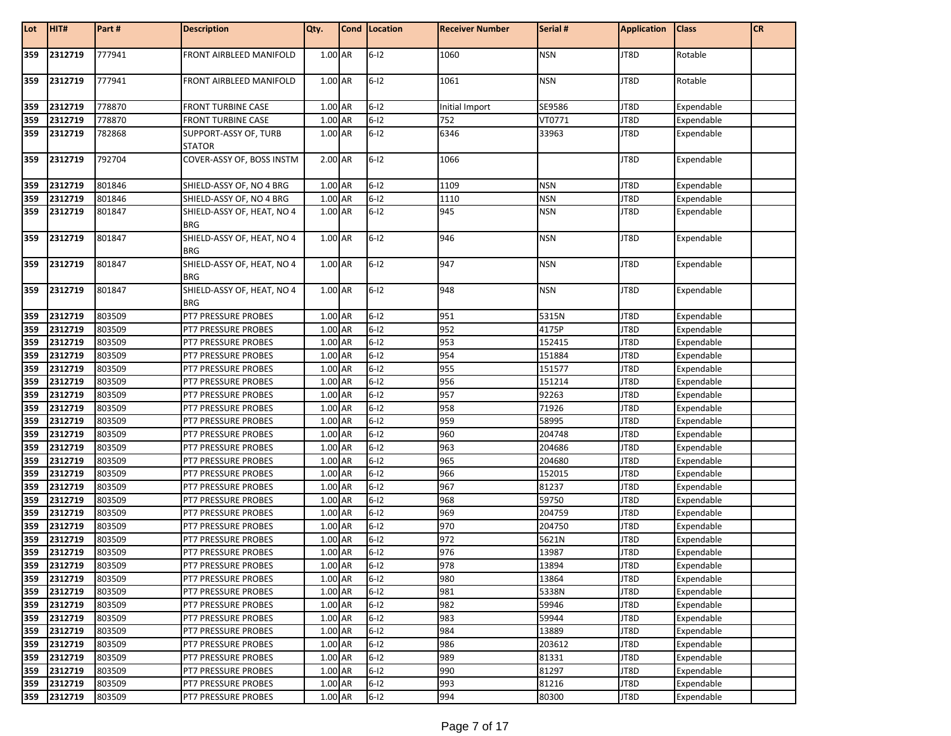| Lot        | HIT#        | Part#  | <b>Description</b>                         | Qty.               | Cond   Location  | <b>Receiver Number</b> | Serial #   | <b>Application</b> | <b>Class</b> | <b>CR</b> |
|------------|-------------|--------|--------------------------------------------|--------------------|------------------|------------------------|------------|--------------------|--------------|-----------|
| 359        | 2312719     | 777941 | FRONT AIRBLEED MANIFOLD                    | 1.00 AR            | $6 - 12$         | 1060                   | <b>NSN</b> | JT8D               | Rotable      |           |
|            |             |        |                                            |                    |                  |                        |            |                    |              |           |
| 359        | 2312719     | 777941 | FRONT AIRBLEED MANIFOLD                    | 1.00 AR            | $6 - 12$         | 1061                   | <b>NSN</b> | JT8D               | Rotable      |           |
| 359        | 2312719     | 778870 | <b>FRONT TURBINE CASE</b>                  | 1.00 AR            | $6-12$           | Initial Import         | SE9586     | JT8D               | Expendable   |           |
| 359        | 2312719     | 778870 | <b>FRONT TURBINE CASE</b>                  | 1.00 AR            | $6-12$           | 752                    | VT0771     | JT8D               | Expendable   |           |
| 359        | 2312719     | 782868 | SUPPORT-ASSY OF, TURB<br>STATOR            | 1.00 AR            | $6-12$           | 6346                   | 33963      | JT8D               | Expendable   |           |
| 359        | 2312719     | 792704 | COVER-ASSY OF, BOSS INSTM                  | 2.00 AR            | $6-12$           | 1066                   |            | JT8D               | Expendable   |           |
| 359        | 2312719     | 801846 | SHIELD-ASSY OF, NO 4 BRG                   | 1.00 AR            | $6-12$           | 1109                   | <b>NSN</b> | JT8D               | Expendable   |           |
| 359        | 2312719     | 801846 | SHIELD-ASSY OF, NO 4 BRG                   | 1.00 AR            | $6-12$           | 1110                   | <b>NSN</b> | JT8D               | Expendable   |           |
| 359        | 2312719     | 801847 | SHIELD-ASSY OF, HEAT, NO 4                 | 1.00 AR            | $6 - 12$         | 945                    | <b>NSN</b> | JT8D               | Expendable   |           |
|            |             |        | <b>BRG</b>                                 |                    |                  |                        |            |                    |              |           |
| 359        | 2312719     | 801847 | SHIELD-ASSY OF, HEAT, NO 4<br><b>BRG</b>   | 1.00 AR            | $6-12$           | 946                    | <b>NSN</b> | JT8D               | Expendable   |           |
| 359        | 2312719     | 801847 | SHIELD-ASSY OF, HEAT, NO 4<br><b>BRG</b>   | 1.00 AR            | $6-12$           | 947                    | <b>NSN</b> | JT8D               | Expendable   |           |
| 359        | 2312719     | 801847 | SHIELD-ASSY OF, HEAT, NO 4                 | 1.00 AR            | $6-12$           | 948                    | <b>NSN</b> | JT8D               | Expendable   |           |
|            |             |        | <b>BRG</b>                                 |                    |                  |                        |            |                    |              |           |
| 359        | 2312719     | 803509 | PT7 PRESSURE PROBES                        | 1.00 AR            | $6-12$           | 951                    | 5315N      | JT8D               | Expendable   |           |
| 359        | 2312719     | 803509 | PT7 PRESSURE PROBES                        | 1.00 AR            | $6-12$           | 952                    | 4175P      | JT8D               | Expendable   |           |
| 359        | 2312719     | 803509 | PT7 PRESSURE PROBES                        | 1.00 AR            | $6-12$           | 953                    | 152415     | JT8D               | Expendable   |           |
| 359        | 2312719     | 803509 | PT7 PRESSURE PROBES                        | 1.00 AR            | $6-12$           | 954                    | 151884     | JT8D               | Expendable   |           |
| 359        | 2312719     | 803509 | PT7 PRESSURE PROBES                        | 1.00 AR            | $6-12$           | 955                    | 151577     | JT8D               | Expendable   |           |
| 359        | 2312719     | 803509 | PT7 PRESSURE PROBES                        | 1.00 AR            | $6-12$           | 956                    | 151214     | JT8D               | Expendable   |           |
| 359        | 2312719     | 803509 | PT7 PRESSURE PROBES                        | 1.00 AR            | $6-12$           | 957                    | 92263      | JT8D               | Expendable   |           |
| 359        | 2312719     | 803509 | PT7 PRESSURE PROBES                        | 1.00 AR            | $6-12$           | 958                    | 71926      | JT8D               | Expendable   |           |
| 359        | 2312719     | 803509 | PT7 PRESSURE PROBES                        | 1.00 AR            | $6 - 12$         | 959                    | 58995      | JT8D               | Expendable   |           |
| 359        | 2312719     | 803509 | PT7 PRESSURE PROBES                        | 1.00 AR            | $6-12$           | 960                    | 204748     | JT8D               | Expendable   |           |
| 359        | 2312719     | 803509 | PT7 PRESSURE PROBES                        | 1.00 AR            | $6-12$           | 963                    | 204686     | JT8D               | Expendable   |           |
| 359        | 2312719     | 803509 | PT7 PRESSURE PROBES                        | 1.00 AR            | $6-12$           | 965                    | 204680     | JT8D               | Expendable   |           |
| 359        | 2312719     | 803509 | PT7 PRESSURE PROBES                        | 1.00 AR            | $6-12$           | 966                    | 152015     | JT8D               | Expendable   |           |
| 359        | 2312719     | 803509 | PT7 PRESSURE PROBES                        | 1.00 AR            | $6-12$           | 967                    | 81237      | JT8D               | Expendable   |           |
| 359        | 2312719     | 803509 | PT7 PRESSURE PROBES                        | 1.00 AR            | $6-12$           | 968                    | 59750      | JT8D               | Expendable   |           |
| 359        | 2312719     | 803509 | PT7 PRESSURE PROBES                        | 1.00 AR            | $6-12$           | 969                    | 204759     | JT8D               | Expendable   |           |
| 359        | 2312719     | 803509 | PT7 PRESSURE PROBES                        | 1.00 AR            | $6-12$           | 970                    | 204750     | JT8D               | Expendable   |           |
| 359        | 2312719     | 803509 | PT7 PRESSURE PROBES                        | 1.00 AR            | $6-12$           | 972                    | 5621N      | JT8D               | Expendable   |           |
| 359        | 2312719     | 803509 | PT7 PRESSURE PROBES                        | 1.00 AR            | $6-12$           | 976                    | 13987      | JT8D               | Expendable   |           |
|            | 359 2312719 | 803509 | PT7 PRESSURE PROBES                        | 1.00 AR            | $6 - 12$         | 978                    | 13894      | JT8D               | Expendable   |           |
|            | 359 2312719 | 803509 | PT7 PRESSURE PROBES                        | 1.00 AR            | $6-12$           | 980                    | 13864      | JT8D               | Expendable   |           |
| 359        | 2312719     | 803509 | PT7 PRESSURE PROBES                        | 1.00 AR            | $6-12$           | 981                    | 5338N      | JT8D               | Expendable   |           |
| 359        | 2312719     | 803509 | PT7 PRESSURE PROBES                        | 1.00 AR            | $6-12$           | 982                    | 59946      | JT8D               | Expendable   |           |
| 359        | 2312719     | 803509 | PT7 PRESSURE PROBES                        | 1.00 AR            | $6-12$           | 983                    | 59944      | JT8D               | Expendable   |           |
| 359        | 2312719     | 803509 | PT7 PRESSURE PROBES                        | 1.00 AR            | $6-12$           | 984                    | 13889      | JT8D               | Expendable   |           |
| 359        | 2312719     | 803509 | PT7 PRESSURE PROBES                        | 1.00 AR            | $6-12$           | 986                    | 203612     | JT8D               | Expendable   |           |
| 359<br>359 | 2312719     | 803509 | PT7 PRESSURE PROBES                        | 1.00 AR            | $6-12$           | 989<br>990             | 81331      | JT8D               | Expendable   |           |
|            | 2312719     | 803509 | PT7 PRESSURE PROBES<br>PT7 PRESSURE PROBES | 1.00 AR<br>1.00 AR | $6-12$<br>$6-12$ | 993                    | 81297      | JT8D               | Expendable   |           |
| 359        | 2312719     | 803509 |                                            |                    |                  |                        | 81216      | JT8D               | Expendable   |           |
|            | 359 2312719 | 803509 | PT7 PRESSURE PROBES                        | 1.00 AR            | $6-12$           | 994                    | 80300      | JT8D               | Expendable   |           |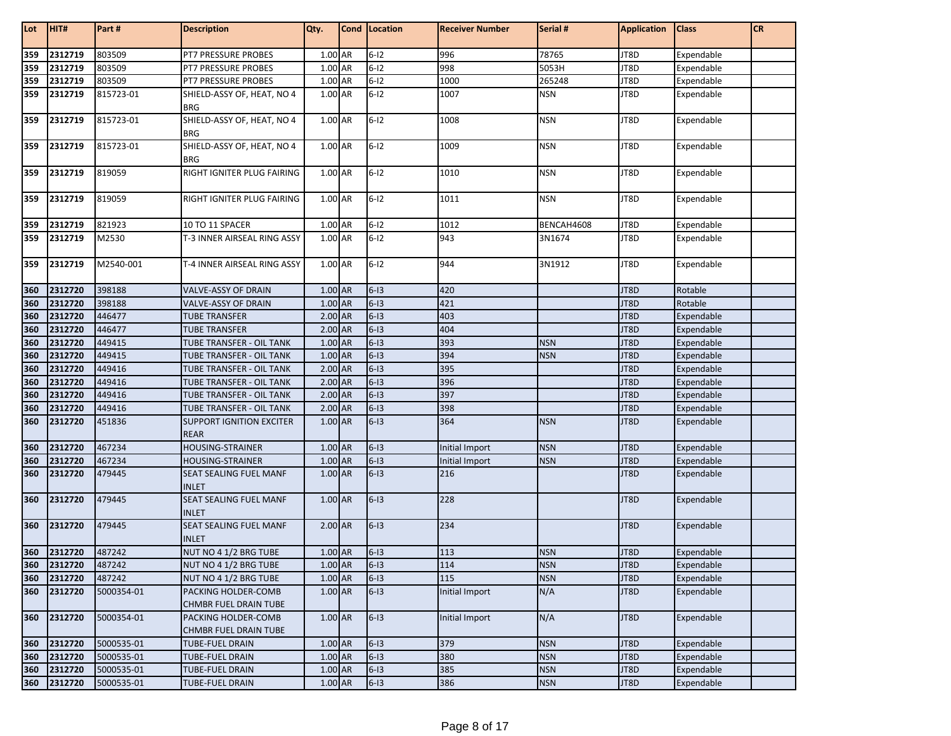| Lot | HIT#    | Part#      | <b>Description</b>                             | Qty.      | Cond   Location | <b>Receiver Number</b> | Serial #   | <b>Application</b> | <b>Class</b> | CR |
|-----|---------|------------|------------------------------------------------|-----------|-----------------|------------------------|------------|--------------------|--------------|----|
| 359 | 2312719 | 803509     | PT7 PRESSURE PROBES                            | 1.00 AR   | $6 - 12$        | 996                    | 78765      | JT8D               | Expendable   |    |
| 359 | 2312719 | 803509     | <b>PT7 PRESSURE PROBES</b>                     | 1.00 AR   | $6 - 12$        | 998                    | 5053H      | JT8D               | Expendable   |    |
| 359 | 2312719 | 803509     | PT7 PRESSURE PROBES                            | 1.00 AR   | $6-12$          | 1000                   | 265248     | JT8D               | Expendable   |    |
| 359 | 2312719 | 815723-01  | SHIELD-ASSY OF, HEAT, NO 4<br><b>BRG</b>       | 1.00 AR   | $6 - 12$        | 1007                   | <b>NSN</b> | JT8D               | Expendable   |    |
| 359 | 2312719 | 815723-01  | SHIELD-ASSY OF, HEAT, NO 4<br><b>BRG</b>       | 1.00 AR   | $6 - 12$        | 1008                   | <b>NSN</b> | JT8D               | Expendable   |    |
| 359 | 2312719 | 815723-01  | SHIELD-ASSY OF, HEAT, NO 4<br><b>BRG</b>       | 1.00 AR   | $6 - 12$        | 1009                   | <b>NSN</b> | JT8D               | Expendable   |    |
| 359 | 2312719 | 819059     | RIGHT IGNITER PLUG FAIRING                     | 1.00 AR   | $6-12$          | 1010                   | <b>NSN</b> | JT8D               | Expendable   |    |
| 359 | 2312719 | 819059     | RIGHT IGNITER PLUG FAIRING                     | 1.00 AR   | $6 - 12$        | 1011                   | <b>NSN</b> | JT8D               | Expendable   |    |
| 359 | 2312719 | 821923     | 10 TO 11 SPACER                                | 1.00 AR   | $6 - 12$        | 1012                   | BENCAH4608 | JT8D               | Expendable   |    |
| 359 | 2312719 | M2530      | T-3 INNER AIRSEAL RING ASSY                    | 1.00 AR   | $6 - 12$        | 943                    | 3N1674     | JT8D               | Expendable   |    |
| 359 | 2312719 | M2540-001  | T-4 INNER AIRSEAL RING ASSY                    | 1.00 AR   | $6 - 12$        | 944                    | 3N1912     | JT8D               | Expendable   |    |
| 360 | 2312720 | 398188     | VALVE-ASSY OF DRAIN                            | 1.00 AR   | $6-13$          | 420                    |            | JT8D               | Rotable      |    |
| 360 | 2312720 | 398188     | VALVE-ASSY OF DRAIN                            | 1.00 AR   | $6-13$          | 421                    |            | JT8D               | Rotable      |    |
| 360 | 2312720 | 446477     | <b>TUBE TRANSFER</b>                           | 2.00 AR   | $6-13$          | 403                    |            | JT8D               | Expendable   |    |
| 360 | 2312720 | 446477     | <b>TUBE TRANSFER</b>                           | 2.00 AR   | $6-13$          | 404                    |            | JT8D               | Expendable   |    |
| 360 | 2312720 | 449415     | TUBE TRANSFER - OIL TANK                       | 1.00 AR   | $6-13$          | 393                    | <b>NSN</b> | JT8D               | Expendable   |    |
| 360 | 2312720 | 449415     | TUBE TRANSFER - OIL TANK                       | 1.00 AR   | $6-13$          | 394                    | <b>NSN</b> | JT8D               | Expendable   |    |
| 360 | 2312720 | 449416     | TUBE TRANSFER - OIL TANK                       | 2.00 AR   | $6-13$          | 395                    |            | JT8D               | Expendable   |    |
| 360 | 2312720 | 449416     | TUBE TRANSFER - OIL TANK                       | 2.00 AR   | $6-13$          | 396                    |            | JT8D               | Expendable   |    |
| 360 | 2312720 | 449416     | TUBE TRANSFER - OIL TANK                       | $2.00$ AR | $6-13$          | 397                    |            | JT8D               | Expendable   |    |
| 360 | 2312720 | 449416     | TUBE TRANSFER - OIL TANK                       | 2.00 AR   | $6-13$          | 398                    |            | JT8D               | Expendable   |    |
| 360 | 2312720 | 451836     | <b>SUPPORT IGNITION EXCITER</b><br><b>REAR</b> | 1.00 AR   | $6-13$          | 364                    | <b>NSN</b> | JT8D               | Expendable   |    |
| 360 | 2312720 | 467234     | <b>HOUSING-STRAINER</b>                        | 1.00 AR   | $6-13$          | Initial Import         | <b>NSN</b> | JT8D               | Expendable   |    |
| 360 | 2312720 | 467234     | <b>HOUSING-STRAINER</b>                        | 1.00 AR   | $6-13$          | <b>Initial Import</b>  | <b>NSN</b> | JT8D               | Expendable   |    |
| 360 | 2312720 | 479445     | SEAT SEALING FUEL MANF<br><b>INLET</b>         | 1.00 AR   | $6-13$          | 216                    |            | JT8D               | Expendable   |    |
| 360 | 2312720 | 479445     | <b>SEAT SEALING FUEL MANF</b><br><b>INLET</b>  | 1.00 AR   | $6-13$          | 228                    |            | JT8D               | Expendable   |    |
| 360 | 2312720 | 479445     | SEAT SEALING FUEL MANF<br><b>INLET</b>         | $2.00$ AR | $6-13$          | 234                    |            | JT8D               | Expendable   |    |
| 360 | 2312720 | 487242     | NUT NO 4 1/2 BRG TUBE                          | 1.00 AR   | $6-13$          | 113                    | <b>NSN</b> | JT8D               | Expendable   |    |
| 360 | 2312720 | 487242     | NUT NO 4 1/2 BRG TUBE                          | 1.00 AR   | $6-13$          | 114                    | <b>NSN</b> | JT8D               | Expendable   |    |
| 360 | 2312720 | 487242     | NUT NO 4 1/2 BRG TUBE                          | 1.00 AR   | $6-13$          | 115                    | <b>NSN</b> | JT8D               | Expendable   |    |
| 360 | 2312720 | 5000354-01 | PACKING HOLDER-COMB<br>CHMBR FUEL DRAIN TUBE   | 1.00 AR   | $6-13$          | Initial Import         | N/A        | JT8D               | Expendable   |    |
| 360 | 2312720 | 5000354-01 | PACKING HOLDER-COMB<br>CHMBR FUEL DRAIN TUBE   | 1.00 AR   | $6-13$          | Initial Import         | N/A        | JT8D               | Expendable   |    |
| 360 | 2312720 | 5000535-01 | TUBE-FUEL DRAIN                                | 1.00 AR   | $6-13$          | 379                    | <b>NSN</b> | JT8D               | Expendable   |    |
| 360 | 2312720 | 5000535-01 | TUBE-FUEL DRAIN                                | 1.00 AR   | $6-13$          | 380                    | <b>NSN</b> | JT8D               | Expendable   |    |
| 360 | 2312720 | 5000535-01 | <b>TUBE-FUEL DRAIN</b>                         | 1.00 AR   | $6-13$          | 385                    | <b>NSN</b> | JT8D               | Expendable   |    |
| 360 | 2312720 | 5000535-01 | TUBE-FUEL DRAIN                                | 1.00 AR   | $6-13$          | 386                    | <b>NSN</b> | JT8D               | Expendable   |    |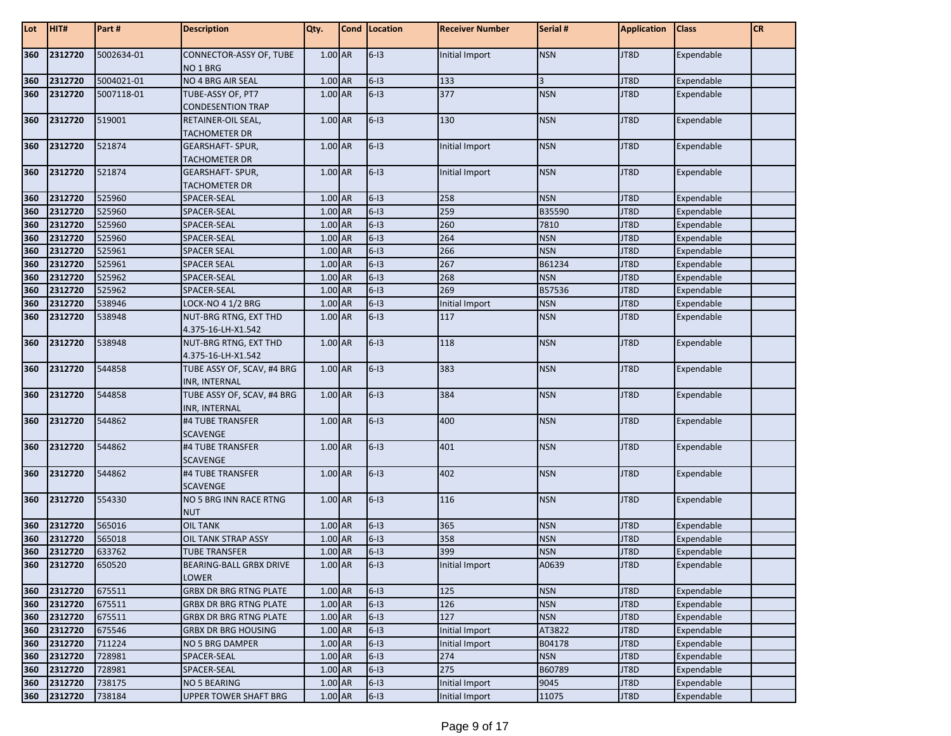| Lot | HIT#    | Part #     | <b>Description</b>                                 | Qty.      | <b>Cond</b> Location | <b>Receiver Number</b> | Serial #       | <b>Application</b> | <b>Class</b> | <b>CR</b> |
|-----|---------|------------|----------------------------------------------------|-----------|----------------------|------------------------|----------------|--------------------|--------------|-----------|
| 360 | 2312720 | 5002634-01 | CONNECTOR-ASSY OF, TUBE<br>NO <sub>1</sub> BRG     | 1.00 AR   | $6-13$               | Initial Import         | <b>NSN</b>     | JT8D               | Expendable   |           |
| 360 | 2312720 | 5004021-01 | NO 4 BRG AIR SEAL                                  | 1.00 AR   | $6-13$               | 133                    | $\overline{3}$ | JT8D               | Expendable   |           |
| 360 | 2312720 | 5007118-01 | TUBE-ASSY OF, PT7                                  | 1.00 AR   | $6-13$               | 377                    | <b>NSN</b>     | JT8D               | Expendable   |           |
|     |         |            | <b>CONDESENTION TRAP</b>                           |           |                      |                        |                |                    |              |           |
| 360 | 2312720 | 519001     | RETAINER-OIL SEAL,                                 | 1.00 AR   | $6-13$               | 130                    | <b>NSN</b>     | JT8D               | Expendable   |           |
|     |         |            | <b>TACHOMETER DR</b>                               |           |                      |                        |                |                    |              |           |
| 360 | 2312720 | 521874     | <b>GEARSHAFT- SPUR,</b>                            | 1.00 AR   | $6-13$               | Initial Import         | <b>NSN</b>     | JT8D               | Expendable   |           |
|     |         |            | <b>TACHOMETER DR</b>                               |           |                      |                        |                |                    |              |           |
| 360 | 2312720 | 521874     | <b>GEARSHAFT- SPUR,</b>                            | 1.00 AR   | $6-13$               | <b>Initial Import</b>  | <b>NSN</b>     | JT8D               | Expendable   |           |
|     |         |            | <b>TACHOMETER DR</b>                               |           |                      |                        |                |                    |              |           |
| 360 | 2312720 | 525960     | SPACER-SEAL                                        | 1.00 AR   | $6-13$               | 258                    | <b>NSN</b>     | JT8D               | Expendable   |           |
| 360 | 2312720 | 525960     | SPACER-SEAL                                        | 1.00 AR   | $6-13$               | 259                    | B35590         | JT8D               | Expendable   |           |
| 360 | 2312720 | 525960     | SPACER-SEAL                                        | 1.00 AR   | $6-13$               | 260                    | 7810           | JT8D               | Expendable   |           |
| 360 | 2312720 | 525960     | SPACER-SEAL                                        | 1.00 AR   | $6-13$               | 264                    | <b>NSN</b>     | JT8D               | Expendable   |           |
| 360 | 2312720 | 525961     | <b>SPACER SEAL</b>                                 | 1.00 AR   | $6-13$               | 266                    | <b>NSN</b>     | JT8D               | Expendable   |           |
| 360 | 2312720 | 525961     | <b>SPACER SEAL</b>                                 | 1.00 AR   | $6-13$               | 267                    | B61234         | JT8D               | Expendable   |           |
| 360 | 2312720 | 525962     | SPACER-SEAL                                        | 1.00 AR   | $6-13$               | 268                    | <b>NSN</b>     | JT8D               | Expendable   |           |
| 360 | 2312720 | 525962     | SPACER-SEAL                                        | 1.00 AR   | $6 - 13$             | 269                    | B57536         | JT8D               | Expendable   |           |
| 360 | 2312720 | 538946     | LOCK-NO 4 1/2 BRG                                  | 1.00 AR   | $6-13$               | Initial Import         | <b>NSN</b>     | JT8D               | Expendable   |           |
| 360 | 2312720 | 538948     | NUT-BRG RTNG, EXT THD<br>4.375-16-LH-X1.542        | 1.00 AR   | $6-13$               | 117                    | <b>NSN</b>     | JT8D               | Expendable   |           |
| 360 | 2312720 | 538948     | NUT-BRG RTNG, EXT THD                              | 1.00 AR   | $6-13$               | 118                    | <b>NSN</b>     | JT8D               | Expendable   |           |
|     |         |            | 4.375-16-LH-X1.542                                 |           |                      |                        |                |                    |              |           |
| 360 | 2312720 | 544858     | TUBE ASSY OF, SCAV, #4 BRG<br><b>INR, INTERNAL</b> | 1.00 AR   | $6 - 13$             | 383                    | <b>NSN</b>     | JT8D               | Expendable   |           |
| 360 | 2312720 | 544858     | TUBE ASSY OF, SCAV, #4 BRG<br><b>INR, INTERNAL</b> | 1.00 AR   | $6-13$               | 384                    | <b>NSN</b>     | JT8D               | Expendable   |           |
| 360 | 2312720 | 544862     | #4 TUBE TRANSFER<br><b>SCAVENGE</b>                | 1.00 AR   | $6-13$               | 400                    | <b>NSN</b>     | JT8D               | Expendable   |           |
| 360 | 2312720 | 544862     | #4 TUBE TRANSFER<br><b>SCAVENGE</b>                | 1.00 AR   | $6-13$               | 401                    | <b>NSN</b>     | JT8D               | Expendable   |           |
| 360 | 2312720 | 544862     | #4 TUBE TRANSFER<br><b>SCAVENGE</b>                | 1.00 AR   | $6-13$               | 402                    | <b>NSN</b>     | JT8D               | Expendable   |           |
| 360 | 2312720 | 554330     | NO 5 BRG INN RACE RTNG<br><b>NUT</b>               | 1.00 AR   | $6-13$               | 116                    | <b>NSN</b>     | JT8D               | Expendable   |           |
| 360 | 2312720 | 565016     | <b>OIL TANK</b>                                    | 1.00 AR   | $6-13$               | 365                    | <b>NSN</b>     | JT8D               | Expendable   |           |
| 360 | 2312720 | 565018     | <b>OIL TANK STRAP ASSY</b>                         | 1.00 AR   | $6-13$               | 358                    | <b>NSN</b>     | JT8D               | Expendable   |           |
| 360 | 2312720 | 633762     | <b>TUBE TRANSFER</b>                               | 1.00 AR   | $6-13$               | 399                    | <b>NSN</b>     | JT8D               | Expendable   |           |
| 360 | 2312720 | 650520     | <b>BEARING-BALL GRBX DRIVE</b><br>LOWER            | 1.00 AR   | $6 - 13$             | Initial Import         | A0639          | JT8D               | Expendable   |           |
| 360 | 2312720 | 675511     | <b>GRBX DR BRG RTNG PLATE</b>                      | 1.00 AR   | $6-13$               | 125                    | <b>NSN</b>     | JT8D               | Expendable   |           |
| 360 | 2312720 | 675511     | <b>GRBX DR BRG RTNG PLATE</b>                      | $1.00$ AR | $6-13$               | 126                    | <b>NSN</b>     | JT8D               | Expendable   |           |
| 360 | 2312720 | 675511     | <b>GRBX DR BRG RTNG PLATE</b>                      | 1.00 AR   | $6-13$               | 127                    | <b>NSN</b>     | JT8D               | Expendable   |           |
| 360 | 2312720 | 675546     | <b>GRBX DR BRG HOUSING</b>                         | 1.00 AR   | $6-13$               | Initial Import         | AT3822         | JT8D               | Expendable   |           |
| 360 | 2312720 | 711224     | NO 5 BRG DAMPER                                    | 1.00 AR   | $6 - 13$             | Initial Import         | B04178         | JT8D               | Expendable   |           |
| 360 | 2312720 | 728981     | SPACER-SEAL                                        | 1.00 AR   | $6 - 13$             | 274                    | <b>NSN</b>     | JT8D               | Expendable   |           |
| 360 | 2312720 | 728981     | SPACER-SEAL                                        | 1.00 AR   | $6-13$               | 275                    | B60789         | JT8D               | Expendable   |           |
| 360 | 2312720 | 738175     | <b>NO 5 BEARING</b>                                | 1.00 AR   | $6-13$               | Initial Import         | 9045           | JT8D               | Expendable   |           |
| 360 | 2312720 | 738184     | UPPER TOWER SHAFT BRG                              | 1.00 AR   | $6-13$               | Initial Import         | 11075          | JT8D               | Expendable   |           |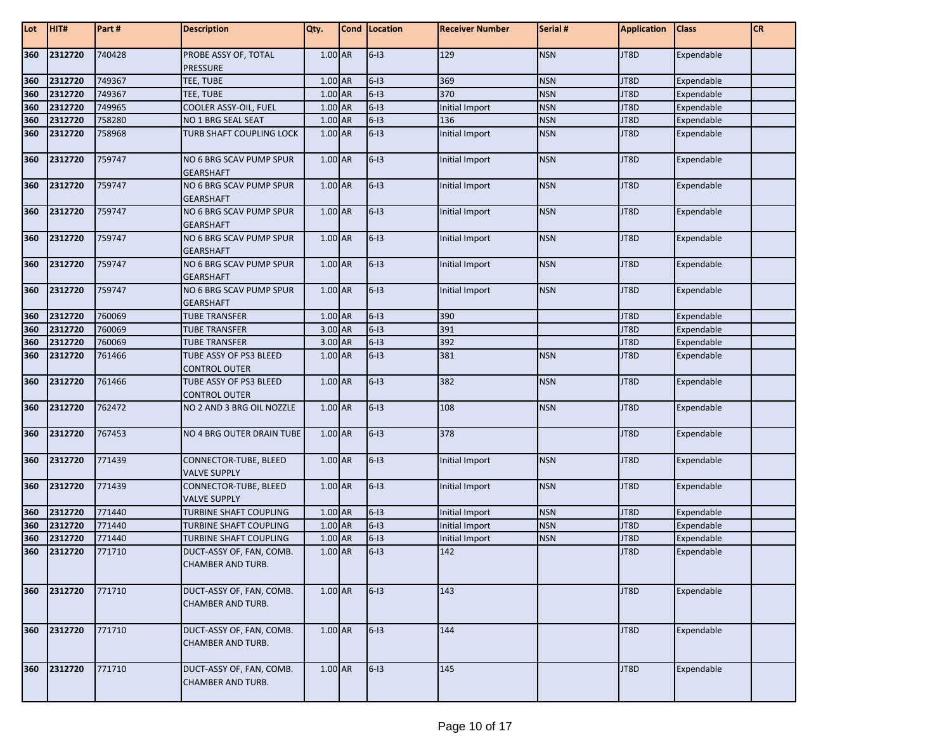| Lot        | HIT#    | Part#  | <b>Description</b>                                   | Qty.      | Cond Location | <b>Receiver Number</b> | Serial #   | <b>Application</b> | <b>Class</b> | <b>CR</b> |
|------------|---------|--------|------------------------------------------------------|-----------|---------------|------------------------|------------|--------------------|--------------|-----------|
| 360        | 2312720 | 740428 | PROBE ASSY OF, TOTAL<br><b>PRESSURE</b>              | 1.00 AR   | $6-13$        | 129                    | <b>NSN</b> | JT8D               | Expendable   |           |
| 360        | 2312720 | 749367 | TEE, TUBE                                            | 1.00 AR   | $6-13$        | 369                    | <b>NSN</b> | JT8D               | Expendable   |           |
|            | 2312720 | 749367 | TEE, TUBE                                            | 1.00 AR   | $6-13$        | 370                    | <b>NSN</b> | JT8D               | Expendable   |           |
| 360<br>360 | 2312720 | 749965 | COOLER ASSY-OIL, FUEL                                | 1.00 AR   | $6-13$        | Initial Import         | <b>NSN</b> | JT8D               | Expendable   |           |
| 360        | 2312720 | 758280 | NO 1 BRG SEAL SEAT                                   | 1.00 AR   | $6-13$        | 136                    | <b>NSN</b> | JT8D               | Expendable   |           |
| 360        | 2312720 | 758968 | TURB SHAFT COUPLING LOCK                             | 1.00 AR   | $6-13$        | Initial Import         | <b>NSN</b> | JT8D               | Expendable   |           |
| 360        | 2312720 | 759747 | NO 6 BRG SCAV PUMP SPUR<br><b>GEARSHAFT</b>          | 1.00 AR   | $6-13$        | Initial Import         | <b>NSN</b> | JT8D               | Expendable   |           |
| 360        | 2312720 | 759747 | NO 6 BRG SCAV PUMP SPUR<br><b>GEARSHAFT</b>          | 1.00 AR   | $6-13$        | Initial Import         | <b>NSN</b> | JT8D               | Expendable   |           |
| 360        | 2312720 | 759747 | NO 6 BRG SCAV PUMP SPUR<br><b>GEARSHAFT</b>          | 1.00 AR   | $6-13$        | Initial Import         | <b>NSN</b> | JT8D               | Expendable   |           |
| 360        | 2312720 | 759747 | NO 6 BRG SCAV PUMP SPUR<br><b>GEARSHAFT</b>          | 1.00 AR   | $6 - 13$      | Initial Import         | <b>NSN</b> | JT8D               | Expendable   |           |
| 360        | 2312720 | 759747 | NO 6 BRG SCAV PUMP SPUR<br><b>GEARSHAFT</b>          | 1.00 AR   | $6-13$        | Initial Import         | <b>NSN</b> | JT8D               | Expendable   |           |
| 360        | 2312720 | 759747 | NO 6 BRG SCAV PUMP SPUR<br><b>GEARSHAFT</b>          | 1.00 AR   | $6-13$        | Initial Import         | <b>NSN</b> | JT8D               | Expendable   |           |
| 360        | 2312720 | 760069 | <b>TUBE TRANSFER</b>                                 | 1.00 AR   | $6-13$        | 390                    |            | JT8D               | Expendable   |           |
| 360        | 2312720 | 760069 | <b>TUBE TRANSFER</b>                                 | 3.00 AR   | $6-13$        | 391                    |            | JT8D               | Expendable   |           |
| 360        | 2312720 | 760069 | <b>TUBE TRANSFER</b>                                 | 3.00 AR   | $6-13$        | 392                    |            | JT8D               | Expendable   |           |
| 360        | 2312720 | 761466 | TUBE ASSY OF PS3 BLEED                               | 1.00 AR   | $6-13$        | 381                    | <b>NSN</b> | JT8D               | Expendable   |           |
|            |         |        | <b>CONTROL OUTER</b>                                 |           |               |                        |            |                    |              |           |
| 360        | 2312720 | 761466 | TUBE ASSY OF PS3 BLEED<br><b>CONTROL OUTER</b>       | 1.00 AR   | $6-13$        | 382                    | <b>NSN</b> | JT8D               | Expendable   |           |
| 360        | 2312720 | 762472 | NO 2 AND 3 BRG OIL NOZZLE                            | 1.00 AR   | $6 - 13$      | 108                    | <b>NSN</b> | JT8D               | Expendable   |           |
| 360        | 2312720 | 767453 | NO 4 BRG OUTER DRAIN TUBE                            | 1.00 AR   | $6-13$        | 378                    |            | JT8D               | Expendable   |           |
| 360        | 2312720 | 771439 | CONNECTOR-TUBE, BLEED<br><b>VALVE SUPPLY</b>         | 1.00 AR   | $6-13$        | Initial Import         | <b>NSN</b> | JT8D               | Expendable   |           |
| 360        | 2312720 | 771439 | CONNECTOR-TUBE, BLEED<br><b>VALVE SUPPLY</b>         | 1.00 AR   | $6-13$        | Initial Import         | <b>NSN</b> | JT8D               | Expendable   |           |
| 360        | 2312720 | 771440 | <b>TURBINE SHAFT COUPLING</b>                        | $1.00$ AR | $6-13$        | Initial Import         | <b>NSN</b> | JT8D               | Expendable   |           |
| 360        | 2312720 | 771440 | <b>TURBINE SHAFT COUPLING</b>                        | $1.00$ AR | $6-13$        | Initial Import         | <b>NSN</b> | JT8D               | Expendable   |           |
| 360        | 2312720 | 771440 | <b>TURBINE SHAFT COUPLING</b>                        | 1.00 AR   | $6-13$        | Initial Import         | <b>NSN</b> | JT8D               | Expendable   |           |
| 360        | 2312720 | 771710 | DUCT-ASSY OF, FAN, COMB.<br>CHAMBER AND TURB.        | 1.00 AR   | $6-13$        | 142                    |            | JT8D               | Expendable   |           |
| 360        | 2312720 | 771710 | DUCT-ASSY OF, FAN, COMB.<br><b>CHAMBER AND TURB.</b> | 1.00 AR   | $6-13$        | 143                    |            | JT8D               | Expendable   |           |
| 360        | 2312720 | 771710 | DUCT-ASSY OF, FAN, COMB.<br>CHAMBER AND TURB.        | 1.00 AR   | $6-13$        | 144                    |            | JT8D               | Expendable   |           |
| 360        | 2312720 | 771710 | DUCT-ASSY OF, FAN, COMB.<br>CHAMBER AND TURB.        | 1.00 AR   | $6 - 13$      | 145                    |            | JT8D               | Expendable   |           |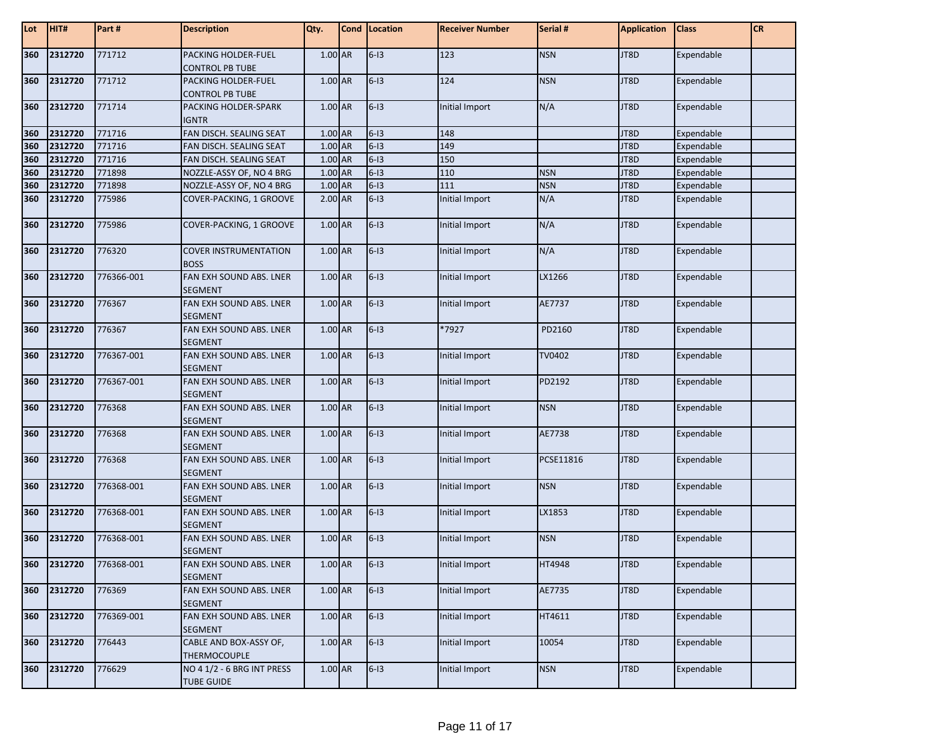| Lot | HIT#        | Part#      | <b>Description</b>                              | Qty.      | Cond   Location | <b>Receiver Number</b> | Serial #   | <b>Application</b> | <b>Class</b>      | <b>CR</b> |
|-----|-------------|------------|-------------------------------------------------|-----------|-----------------|------------------------|------------|--------------------|-------------------|-----------|
| 360 | 2312720     | 771712     | PACKING HOLDER-FUEL<br><b>CONTROL PB TUBE</b>   | $1.00$ AR | $6 - 13$        | 123                    | <b>NSN</b> | JT8D               | Expendable        |           |
| 360 | 2312720     | 771712     | PACKING HOLDER-FUEL<br><b>CONTROL PB TUBE</b>   | 1.00 AR   | $6-13$          | 124                    | <b>NSN</b> | JT8D               | Expendable        |           |
| 360 | 2312720     | 771714     | PACKING HOLDER-SPARK<br><b>IGNTR</b>            | 1.00 AR   | $6-13$          | Initial Import         | N/A        | JT8D               | Expendable        |           |
| 360 | 2312720     | 771716     | FAN DISCH. SEALING SEAT                         | 1.00 AR   | $6-13$          | 148                    |            | JT8D               | Expendable        |           |
| 360 | 2312720     | 771716     | FAN DISCH. SEALING SEAT                         | 1.00 AR   | $6-13$          | 149                    |            | JT8D               | Expendable        |           |
| 360 | 2312720     | 771716     | FAN DISCH. SEALING SEAT                         | 1.00 AR   | $6-13$          | 150                    |            | JT8D               | Expendable        |           |
| 360 | 2312720     | 771898     | NOZZLE-ASSY OF, NO 4 BRG                        | 1.00 AR   | $6-13$          | 110                    | <b>NSN</b> | JT8D               | Expendable        |           |
| 360 | 2312720     | 771898     | NOZZLE-ASSY OF, NO 4 BRG                        | 1.00 AR   | $6-13$          | 111                    | <b>NSN</b> | JT8D               | Expendable        |           |
| 360 | 2312720     | 775986     | COVER-PACKING, 1 GROOVE                         | 2.00 AR   | $6-13$          | Initial Import         | N/A        | JT8D               | Expendable        |           |
| 360 | 2312720     | 775986     | COVER-PACKING, 1 GROOVE                         | 1.00 AR   | $6 - 13$        | Initial Import         | N/A        | JT8D               | Expendable        |           |
| 360 | 2312720     | 776320     | <b>COVER INSTRUMENTATION</b><br><b>BOSS</b>     | 1.00 AR   | $6 - 13$        | Initial Import         | N/A        | JT8D               | Expendable        |           |
| 360 | 2312720     | 776366-001 | FAN EXH SOUND ABS. LNER<br><b>SEGMENT</b>       | 1.00 AR   | $6-13$          | Initial Import         | LX1266     | JT8D               | Expendable        |           |
| 360 | 2312720     | 776367     | FAN EXH SOUND ABS. LNER<br><b>SEGMENT</b>       | 1.00 AR   | $6 - 13$        | Initial Import         | AE7737     | JT8D               | Expendable        |           |
| 360 | 2312720     | 776367     | FAN EXH SOUND ABS. LNER<br><b>SEGMENT</b>       | 1.00 AR   | $6-13$          | *7927                  | PD2160     | JT8D               | Expendable        |           |
| 360 | 2312720     | 776367-001 | FAN EXH SOUND ABS. LNER<br><b>SEGMENT</b>       | 1.00 AR   | $6-13$          | Initial Import         | TV0402     | JT8D               | Expendable        |           |
| 360 | 2312720     | 776367-001 | FAN EXH SOUND ABS. LNER<br><b>SEGMENT</b>       | 1.00 AR   | $6-13$          | Initial Import         | PD2192     | JT8D               | Expendable        |           |
| 360 | 2312720     | 776368     | FAN EXH SOUND ABS. LNER<br><b>SEGMENT</b>       | 1.00 AR   | $6-13$          | Initial Import         | <b>NSN</b> | JT8D               | Expendable        |           |
| 360 | 2312720     | 776368     | FAN EXH SOUND ABS. LNER<br><b>SEGMENT</b>       | 1.00 AR   | $6 - 13$        | Initial Import         | AE7738     | JT8D               | Expendable        |           |
| 360 | 2312720     | 776368     | FAN EXH SOUND ABS. LNER<br><b>SEGMENT</b>       | 1.00 AR   | $6-13$          | Initial Import         | PCSE11816  | JT8D               | Expendable        |           |
| 360 | 2312720     | 776368-001 | FAN EXH SOUND ABS. LNER<br><b>SEGMENT</b>       | 1.00 AR   | $6 - 13$        | Initial Import         | <b>NSN</b> | JT8D               | Expendable        |           |
| 360 | 2312720     | 776368-001 | FAN EXH SOUND ABS. LNER<br><b>SEGMENT</b>       | 1.00 AR   | $6 - 13$        | Initial Import         | LX1853     | JT8D               | Expendable        |           |
| 360 | 2312720     | 776368-001 | FAN EXH SOUND ABS. LNER<br><b>SEGMENT</b>       | 1.00 AR   | $6 - 13$        | Initial Import         | <b>NSN</b> | JT8D               | Expendable        |           |
|     | 360 2312720 | 776368-001 | FAN EXH SOUND ABS. LNER<br><b>SEGMENT</b>       | $1.00$ AR | $6-13$          | <b>Initial Import</b>  | HT4948     | JT8D               | <b>Expendable</b> |           |
| 360 | 2312720     | 776369     | FAN EXH SOUND ABS. LNER<br><b>SEGMENT</b>       | $1.00$ AR | $6-13$          | Initial Import         | AE7735     | JT8D               | Expendable        |           |
| 360 | 2312720     | 776369-001 | FAN EXH SOUND ABS. LNER<br><b>SEGMENT</b>       | 1.00 AR   | $6-13$          | Initial Import         | HT4611     | JT8D               | Expendable        |           |
| 360 | 2312720     | 776443     | CABLE AND BOX-ASSY OF,<br><b>THERMOCOUPLE</b>   | 1.00 AR   | $6 - 13$        | Initial Import         | 10054      | JT8D               | Expendable        |           |
| 360 | 2312720     | 776629     | NO 4 1/2 - 6 BRG INT PRESS<br><b>TUBE GUIDE</b> | $1.00$ AR | $6-13$          | Initial Import         | <b>NSN</b> | JT8D               | Expendable        |           |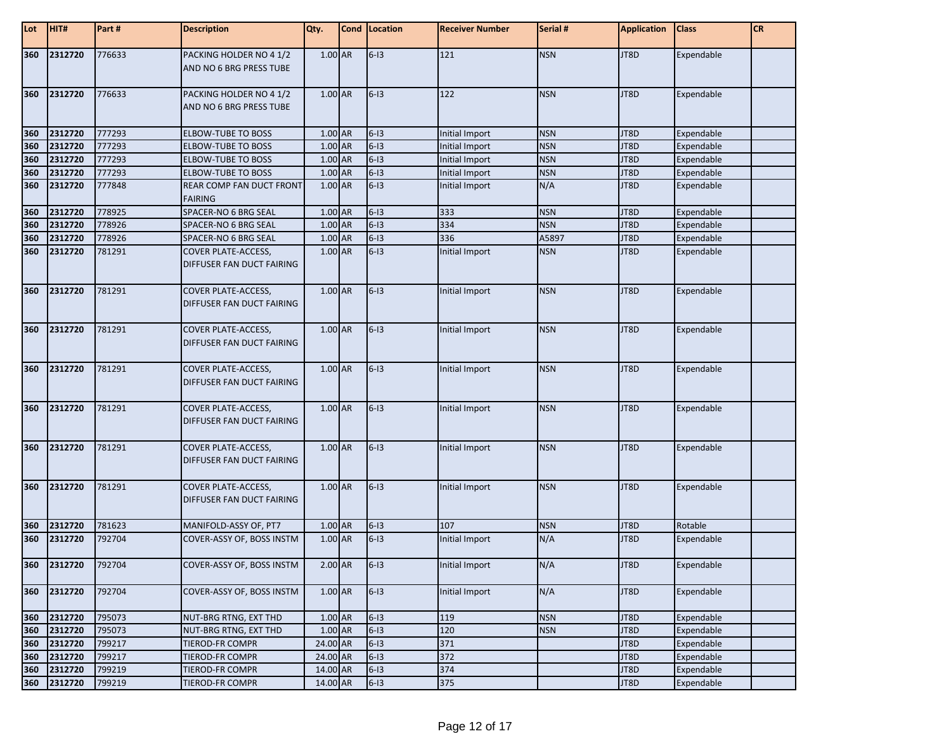| Lot | HIT#    | Part # | <b>Description</b>                                      | Qty.      | Cond   Location | <b>Receiver Number</b> | Serial #   | <b>Application</b> | <b>Class</b>      | <b>CR</b> |
|-----|---------|--------|---------------------------------------------------------|-----------|-----------------|------------------------|------------|--------------------|-------------------|-----------|
| 360 | 2312720 | 776633 | PACKING HOLDER NO 4 1/2<br>AND NO 6 BRG PRESS TUBE      | $1.00$ AR | $6-13$          | 121                    | <b>NSN</b> | JT8D               | Expendable        |           |
| 360 | 2312720 | 776633 | PACKING HOLDER NO 4 1/2<br>AND NO 6 BRG PRESS TUBE      | 1.00 AR   | $6-13$          | 122                    | <b>NSN</b> | JT8D               | Expendable        |           |
| 360 | 2312720 | 777293 | <b>ELBOW-TUBE TO BOSS</b>                               | 1.00 AR   | $6-13$          | Initial Import         | <b>NSN</b> | JT8D               | Expendable        |           |
| 360 | 2312720 | 777293 | <b>ELBOW-TUBE TO BOSS</b>                               | 1.00 AR   | $6-13$          | Initial Import         | <b>NSN</b> | JT8D               | Expendable        |           |
| 360 | 2312720 | 777293 | <b>ELBOW-TUBE TO BOSS</b>                               | 1.00 AR   | $6-13$          | Initial Import         | <b>NSN</b> | JT8D               | Expendable        |           |
| 360 | 2312720 | 777293 | <b>ELBOW-TUBE TO BOSS</b>                               | 1.00 AR   | $6-13$          | Initial Import         | <b>NSN</b> | JT8D               | Expendable        |           |
| 360 | 2312720 | 777848 | REAR COMP FAN DUCT FRONT<br><b>FAIRING</b>              | 1.00 AR   | $6-13$          | Initial Import         | N/A        | JT8D               | Expendable        |           |
| 360 | 2312720 | 778925 | SPACER-NO 6 BRG SEAL                                    | 1.00 AR   | $6-13$          | 333                    | <b>NSN</b> | JT8D               | Expendable        |           |
| 360 | 2312720 | 778926 | SPACER-NO 6 BRG SEAL                                    | 1.00 AR   | $6 - 13$        | 334                    | <b>NSN</b> | JT8D               | Expendable        |           |
| 360 | 2312720 | 778926 | SPACER-NO 6 BRG SEAL                                    | 1.00 AR   | $6-13$          | 336                    | A5897      | JT8D               | Expendable        |           |
| 360 | 2312720 | 781291 | <b>COVER PLATE-ACCESS,</b><br>DIFFUSER FAN DUCT FAIRING | 1.00 AR   | $6-13$          | Initial Import         | <b>NSN</b> | JT8D               | Expendable        |           |
| 360 | 2312720 | 781291 | <b>COVER PLATE-ACCESS,</b><br>DIFFUSER FAN DUCT FAIRING | $1.00$ AR | $6-13$          | Initial Import         | <b>NSN</b> | JT8D               | Expendable        |           |
| 360 | 2312720 | 781291 | <b>COVER PLATE-ACCESS,</b><br>DIFFUSER FAN DUCT FAIRING | $1.00$ AR | $6-13$          | Initial Import         | <b>NSN</b> | JT8D               | Expendable        |           |
| 360 | 2312720 | 781291 | <b>COVER PLATE-ACCESS,</b><br>DIFFUSER FAN DUCT FAIRING | 1.00 AR   | $6-13$          | Initial Import         | <b>NSN</b> | JT8D               | Expendable        |           |
| 360 | 2312720 | 781291 | <b>COVER PLATE-ACCESS,</b><br>DIFFUSER FAN DUCT FAIRING | 1.00 AR   | $6-13$          | Initial Import         | <b>NSN</b> | JT8D               | Expendable        |           |
| 360 | 2312720 | 781291 | <b>COVER PLATE-ACCESS,</b><br>DIFFUSER FAN DUCT FAIRING | 1.00 AR   | $6-13$          | Initial Import         | <b>NSN</b> | JT8D               | Expendable        |           |
| 360 | 2312720 | 781291 | <b>COVER PLATE-ACCESS,</b><br>DIFFUSER FAN DUCT FAIRING | 1.00 AR   | $6-13$          | Initial Import         | <b>NSN</b> | JT8D               | Expendable        |           |
| 360 | 2312720 | 781623 | MANIFOLD-ASSY OF, PT7                                   | 1.00 AR   | $6 - 13$        | 107                    | <b>NSN</b> | JT8D               | Rotable           |           |
| 360 | 2312720 | 792704 | COVER-ASSY OF, BOSS INSTM                               | 1.00 AR   | $6-13$          | Initial Import         | N/A        | JT8D               | Expendable        |           |
| 360 | 2312720 | 792704 | COVER-ASSY OF, BOSS INSTM                               | $2.00$ AR | $ 6-13 $        | Initial Import         | N/A        | JT8D               | <b>Expendable</b> |           |
| 360 | 2312720 | 792704 | COVER-ASSY OF, BOSS INSTM                               | 1.00 AR   | $6 - 13$        | Initial Import         | N/A        | JT8D               | Expendable        |           |
| 360 | 2312720 | 795073 | NUT-BRG RTNG, EXT THD                                   | 1.00 AR   | $6-13$          | 119                    | <b>NSN</b> | JT8D               | Expendable        |           |
| 360 | 2312720 | 795073 | NUT-BRG RTNG, EXT THD                                   | $1.00$ AR | $6 - 13$        | 120                    | <b>NSN</b> | JT8D               | Expendable        |           |
| 360 | 2312720 | 799217 | <b>TIEROD-FR COMPR</b>                                  | 24.00 AR  | $6-13$          | 371                    |            | JT8D               | Expendable        |           |
| 360 | 2312720 | 799217 | <b>TIEROD-FR COMPR</b>                                  | 24.00 AR  | $6-13$          | 372                    |            | JT8D               | Expendable        |           |
| 360 | 2312720 | 799219 | <b>TIEROD-FR COMPR</b>                                  | 14.00 AR  | $6 - 13$        | 374                    |            | JT8D               | Expendable        |           |
| 360 | 2312720 | 799219 | TIEROD-FR COMPR                                         | 14.00 AR  | $6-13$          | 375                    |            | JT8D               | Expendable        |           |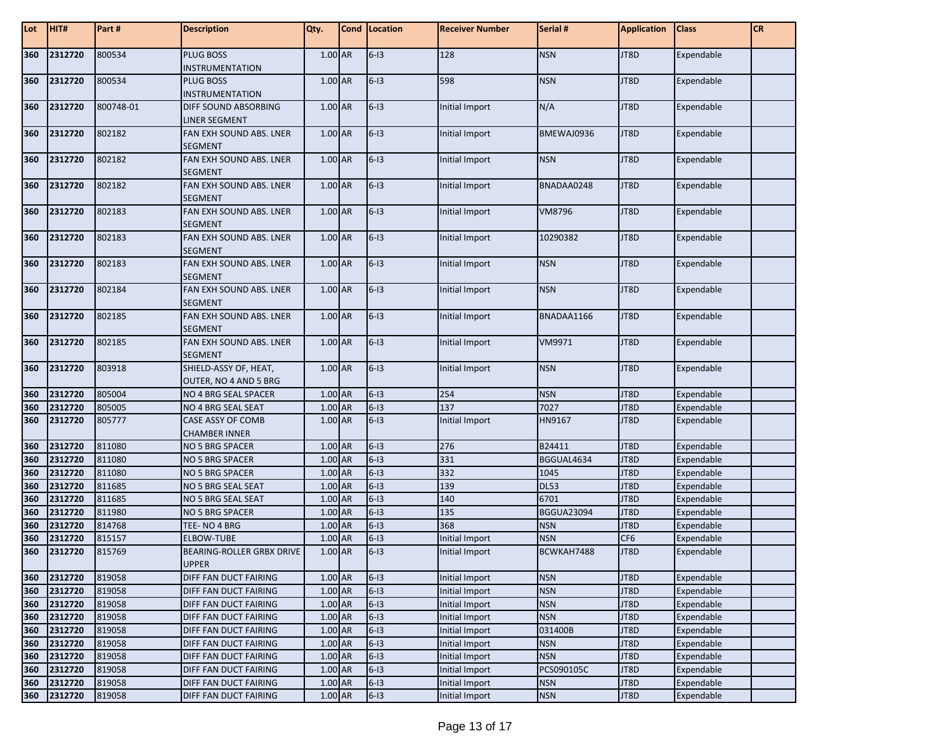| Lot        | HIT#               | Part#            | <b>Description</b>                                      | Qty.               | Cond Location    | <b>Receiver Number</b>                  | Serial #                 | <b>Application</b>      | <b>Class</b>             | <b>CR</b> |
|------------|--------------------|------------------|---------------------------------------------------------|--------------------|------------------|-----------------------------------------|--------------------------|-------------------------|--------------------------|-----------|
| 360        | 2312720            | 800534           | PLUG BOSS<br><b>INSTRUMENTATION</b>                     | $1.00$ AR          | $6-13$           | 128                                     | <b>NSN</b>               | JT8D                    | Expendable               |           |
| 360        | 2312720            | 800534           | <b>PLUG BOSS</b><br><b>INSTRUMENTATION</b>              | 1.00 AR            | $6-13$           | 598                                     | <b>NSN</b>               | JT8D                    | Expendable               |           |
| 360        | 2312720            | 800748-01        | <b>DIFF SOUND ABSORBING</b><br><b>LINER SEGMENT</b>     | 1.00 AR            | $6 - 13$         | Initial Import                          | N/A                      | JT8D                    | Expendable               |           |
| 360        | 2312720            | 802182           | FAN EXH SOUND ABS. LNER<br><b>SEGMENT</b>               | 1.00 AR            | $6-13$           | Initial Import                          | BMEWAJ0936               | JT8D                    | Expendable               |           |
| 360        | 2312720            | 802182           | FAN EXH SOUND ABS. LNER<br><b>SEGMENT</b>               | 1.00 AR            | $6-13$           | Initial Import                          | <b>NSN</b>               | JT8D                    | Expendable               |           |
| 360        | 2312720            | 802182           | FAN EXH SOUND ABS. LNER<br><b>SEGMENT</b>               | 1.00 AR            | $6-13$           | Initial Import                          | BNADAA0248               | JT8D                    | Expendable               |           |
| 360        | 2312720            | 802183           | FAN EXH SOUND ABS. LNER<br><b>SEGMENT</b>               | 1.00 AR            | $6 - 13$         | Initial Import                          | VM8796                   | JT8D                    | Expendable               |           |
| 360        | 2312720            | 802183           | FAN EXH SOUND ABS. LNER<br><b>SEGMENT</b>               | 1.00 AR            | $6-13$           | Initial Import                          | 10290382                 | JT8D                    | Expendable               |           |
| 360        | 2312720            | 802183           | FAN EXH SOUND ABS. LNER<br><b>SEGMENT</b>               | 1.00 AR            | $6-13$           | Initial Import                          | <b>NSN</b>               | JT8D                    | Expendable               |           |
| 360        | 2312720            | 802184           | FAN EXH SOUND ABS. LNER<br><b>SEGMENT</b>               | 1.00 AR            | $6-13$           | Initial Import                          | <b>NSN</b>               | JT8D                    | Expendable               |           |
| 360        | 2312720            | 802185           | FAN EXH SOUND ABS. LNER<br><b>SEGMENT</b>               | 1.00 AR            | $6-13$           | Initial Import                          | BNADAA1166               | JT8D                    | Expendable               |           |
| 360        | 2312720            | 802185           | FAN EXH SOUND ABS. LNER<br><b>SEGMENT</b>               | 1.00 AR            | $6-13$           | Initial Import                          | VM9971                   | JT8D                    | Expendable               |           |
| 360        | 2312720            | 803918           | SHIELD-ASSY OF, HEAT,<br>OUTER, NO 4 AND 5 BRG          | 1.00 AR            | $6-13$           | Initial Import                          | <b>NSN</b>               | JT8D                    | Expendable               |           |
| 360        | 2312720            | 805004           | NO 4 BRG SEAL SPACER                                    | 1.00 AR            | $6-13$           | 254                                     | <b>NSN</b>               | JT8D                    | Expendable               |           |
| 360        | 2312720            | 805005           | NO 4 BRG SEAL SEAT                                      | 1.00 AR            | $6-13$           | 137                                     | 7027                     | JT8D                    | Expendable               |           |
| 360        | 2312720            | 805777           | CASE ASSY OF COMB<br><b>CHAMBER INNER</b>               | 1.00 AR            | $6-13$           | Initial Import                          | HN9167                   | JT8D                    | Expendable               |           |
| 360        | 2312720            | 811080           | NO 5 BRG SPACER                                         | 1.00 AR            | $6-13$           | 276                                     | B24411                   | JT8D                    | Expendable               |           |
| 360        | 2312720            | 811080           | <b>NO 5 BRG SPACER</b>                                  | 1.00 AR            | $6-13$           | 331                                     | BGGUAL4634               | JT8D                    | Expendable               |           |
| 360        | 2312720            | 811080           | <b>NO 5 BRG SPACER</b>                                  | $1.00$ AR          | $6-13$           | 332                                     | 1045                     | JT8D                    | Expendable               |           |
| 360        | 2312720            | 811685           | NO 5 BRG SEAL SEAT                                      | $1.00$ AR          | $6-13$           | 139                                     | <b>DL53</b>              | JT8D                    | Expendable               |           |
| 360        | 2312720            | 811685           | NO 5 BRG SEAL SEAT                                      | 1.00 AR            | $6-13$           | 140                                     | 6701                     | JT8D                    | Expendable               |           |
| 360        | 2312720            | 811980           | <b>NO 5 BRG SPACER</b>                                  | 1.00 AR            | $6-13$           | 135                                     | <b>BGGUA23094</b>        | JT8D                    | Expendable               |           |
| 360        | 2312720            | 814768           | TEE-NO 4 BRG                                            | 1.00 AR            | $6-13$           | 368                                     | <b>NSN</b>               | JT8D                    | Expendable               |           |
| 360<br>360 | 2312720<br>2312720 | 815157<br>815769 | <b>ELBOW-TUBE</b><br>BEARING-ROLLER GRBX DRIVE<br>UPPER | 1.00 AR<br>1.00 AR | $6-13$<br>$6-13$ | Initial Import<br><b>Initial Import</b> | <b>NSN</b><br>BCWKAH7488 | CF <sub>6</sub><br>JT8D | Expendable<br>Expendable |           |
| 360        | 2312720            | 819058           | DIFF FAN DUCT FAIRING                                   | 1.00 AR            | $6 - 13$         | Initial Import                          | <b>NSN</b>               | JT8D                    | Expendable               |           |
| 360        | 2312720            | 819058           | DIFF FAN DUCT FAIRING                                   | 1.00 AR            | $6-13$           | Initial Import                          | <b>NSN</b>               | JT8D                    | Expendable               |           |
| 360        | 2312720            | 819058           | DIFF FAN DUCT FAIRING                                   | 1.00 AR            | $6-13$           | Initial Import                          | <b>NSN</b>               | JT8D                    | Expendable               |           |
| 360        | 2312720            | 819058           | DIFF FAN DUCT FAIRING                                   | 1.00 AR            | $6-13$           | Initial Import                          | <b>NSN</b>               | JT8D                    | Expendable               |           |
| 360        | 2312720            | 819058           | DIFF FAN DUCT FAIRING                                   | $1.00$ AR          | $6-13$           | Initial Import                          | 031400B                  | JT8D                    | Expendable               |           |
| 360        | 2312720            | 819058           | DIFF FAN DUCT FAIRING                                   | 1.00 AR            | $6-13$           | Initial Import                          | <b>NSN</b>               | JT8D                    | Expendable               |           |
| 360        | 2312720            | 819058           | DIFF FAN DUCT FAIRING                                   | 1.00 AR            | $6-13$           | Initial Import                          | <b>NSN</b>               | JT8D                    | Expendable               |           |
| 360        | 2312720            | 819058           | DIFF FAN DUCT FAIRING                                   | 1.00 AR            | $6 - 13$         | Initial Import                          | PCS090105C               | JT8D                    | Expendable               |           |
| 360        | 2312720            | 819058           | DIFF FAN DUCT FAIRING                                   | 1.00 AR            | $6-13$           | Initial Import                          | <b>NSN</b>               | JT8D                    | Expendable               |           |
| 360        | 2312720            | 819058           | DIFF FAN DUCT FAIRING                                   | 1.00 AR            | $6-13$           | Initial Import                          | <b>NSN</b>               | JT8D                    | Expendable               |           |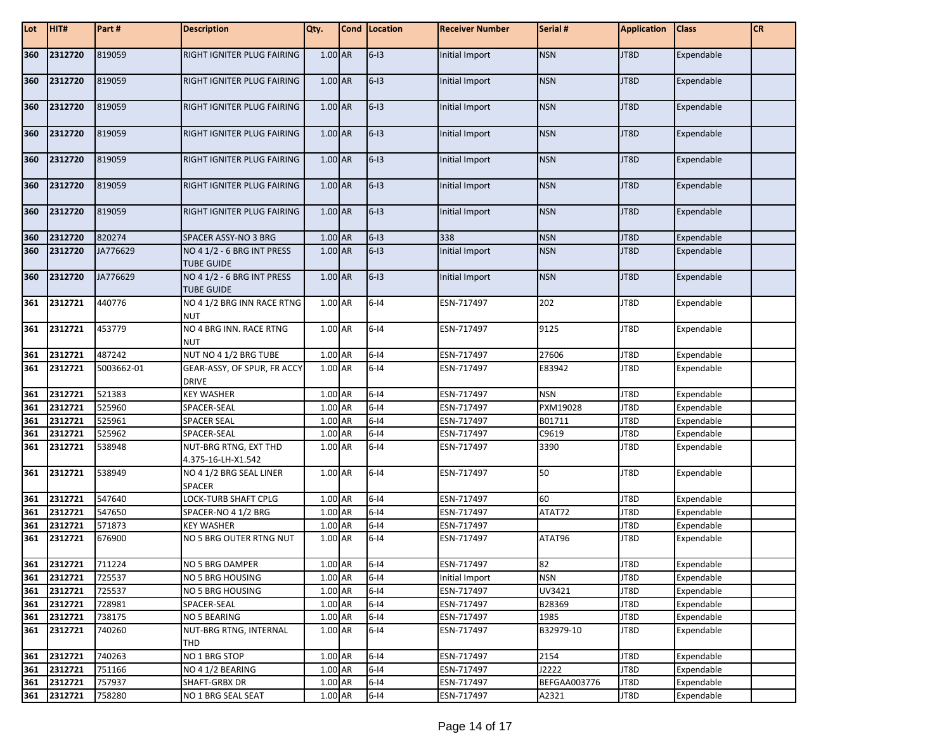| Lot | HIT#        | Part#      | <b>Description</b>                              | Qty.    | Cond   Location | <b>Receiver Number</b> | Serial #            | <b>Application</b> | <b>Class</b> | <b>CR</b> |
|-----|-------------|------------|-------------------------------------------------|---------|-----------------|------------------------|---------------------|--------------------|--------------|-----------|
| 360 | 2312720     | 819059     | RIGHT IGNITER PLUG FAIRING                      | 1.00 AR | $6-13$          | Initial Import         | <b>NSN</b>          | JT8D               | Expendable   |           |
| 360 | 2312720     | 819059     | RIGHT IGNITER PLUG FAIRING                      | 1.00 AR | $6-13$          | Initial Import         | <b>NSN</b>          | JT8D               | Expendable   |           |
| 360 | 2312720     | 819059     | RIGHT IGNITER PLUG FAIRING                      | 1.00 AR | $6-13$          | Initial Import         | <b>NSN</b>          | JT8D               | Expendable   |           |
| 360 | 2312720     | 819059     | RIGHT IGNITER PLUG FAIRING                      | 1.00 AR | $6-13$          | Initial Import         | <b>NSN</b>          | JT8D               | Expendable   |           |
| 360 | 2312720     | 819059     | RIGHT IGNITER PLUG FAIRING                      | 1.00 AR | $6-13$          | Initial Import         | <b>NSN</b>          | JT8D               | Expendable   |           |
| 360 | 2312720     | 819059     | RIGHT IGNITER PLUG FAIRING                      | 1.00 AR | $6-13$          | Initial Import         | <b>NSN</b>          | JT8D               | Expendable   |           |
| 360 | 2312720     | 819059     | RIGHT IGNITER PLUG FAIRING                      | 1.00 AR | $6-13$          | Initial Import         | <b>NSN</b>          | JT8D               | Expendable   |           |
| 360 | 2312720     | 820274     | SPACER ASSY-NO 3 BRG                            | 1.00 AR | $6-13$          | 338                    | <b>NSN</b>          | JT8D               | Expendable   |           |
| 360 | 2312720     | JA776629   | NO 4 1/2 - 6 BRG INT PRESS<br><b>TUBE GUIDE</b> | 1.00 AR | $6-13$          | Initial Import         | <b>NSN</b>          | JT8D               | Expendable   |           |
| 360 | 2312720     | JA776629   | NO 4 1/2 - 6 BRG INT PRESS<br><b>TUBE GUIDE</b> | 1.00 AR | $6-13$          | Initial Import         | <b>NSN</b>          | JT8D               | Expendable   |           |
| 361 | 2312721     | 440776     | NO 4 1/2 BRG INN RACE RTNG<br><b>NUT</b>        | 1.00 AR | $6 - 14$        | ESN-717497             | 202                 | JT8D               | Expendable   |           |
| 361 | 2312721     | 453779     | NO 4 BRG INN. RACE RTNG<br><b>NUT</b>           | 1.00 AR | $6 - 14$        | ESN-717497             | 9125                | JT8D               | Expendable   |           |
| 361 | 2312721     | 487242     | NUT NO 4 1/2 BRG TUBE                           | 1.00 AR | $6 - 14$        | ESN-717497             | 27606               | JT8D               | Expendable   |           |
| 361 | 2312721     | 5003662-01 | GEAR-ASSY, OF SPUR, FR ACCY<br><b>DRIVE</b>     | 1.00 AR | $6-14$          | ESN-717497             | E83942              | JT8D               | Expendable   |           |
| 361 | 2312721     | 521383     | <b>KEY WASHER</b>                               | 1.00 AR | $6-14$          | ESN-717497             | <b>NSN</b>          | JT8D               | Expendable   |           |
| 361 | 2312721     | 525960     | SPACER-SEAL                                     | 1.00 AR | $6-14$          | ESN-717497             | PXM19028            | JT8D               | Expendable   |           |
| 361 | 2312721     | 525961     | SPACER SEAL                                     | 1.00 AR | $6 - 14$        | ESN-717497             | B01711              | JT8D               | Expendable   |           |
| 361 | 2312721     | 525962     | SPACER-SEAL                                     | 1.00 AR | $6 - 14$        | ESN-717497             | C9619               | JT8D               | Expendable   |           |
| 361 | 2312721     | 538948     | NUT-BRG RTNG, EXT THD<br>4.375-16-LH-X1.542     | 1.00 AR | $6-14$          | ESN-717497             | 3390                | JT8D               | Expendable   |           |
| 361 | 2312721     | 538949     | NO 4 1/2 BRG SEAL LINER<br>SPACER               | 1.00 AR | $6 - 14$        | ESN-717497             | 50                  | JT8D               | Expendable   |           |
| 361 | 2312721     | 547640     | LOCK-TURB SHAFT CPLG                            | 1.00 AR | $6 - 14$        | ESN-717497             | 60                  | JT8D               | Expendable   |           |
| 361 | 2312721     | 547650     | SPACER-NO 4 1/2 BRG                             | 1.00 AR | $6 - 14$        | ESN-717497             | ATAT72              | JT8D               | Expendable   |           |
| 361 | 2312721     | 571873     | <b>KEY WASHER</b>                               | 1.00 AR | $6 - 14$        | ESN-717497             |                     | JT8D               | Expendable   |           |
| 361 | 2312721     | 676900     | NO 5 BRG OUTER RTNG NUT                         | 1.00 AR | $6-14$          | ESN-717497             | ATAT96              | JT8D               | Expendable   |           |
|     | 361 2312721 | 711224     | NO 5 BRG DAMPER                                 | 1.00 AR | $6 - 14$        | ESN-717497             | 82                  | JT8D               | Expendable   |           |
| 361 | 2312721     | 725537     | <b>NO 5 BRG HOUSING</b>                         | 1.00 AR | $6 - 14$        | Initial Import         | <b>NSN</b>          | JT8D               | Expendable   |           |
| 361 | 2312721     | 725537     | NO 5 BRG HOUSING                                | 1.00 AR | $6 - 14$        | ESN-717497             | UV3421              | JT8D               | Expendable   |           |
| 361 | 2312721     | 728981     | SPACER-SEAL                                     | 1.00 AR | $6 - 14$        | ESN-717497             | B28369              | JT8D               | Expendable   |           |
| 361 | 2312721     | 738175     | NO 5 BEARING                                    | 1.00 AR | $6 - 14$        | ESN-717497             | 1985                | JT8D               | Expendable   |           |
| 361 | 2312721     | 740260     | NUT-BRG RTNG, INTERNAL<br>THD                   | 1.00 AR | $6 - 14$        | ESN-717497             | B32979-10           | JT8D               | Expendable   |           |
| 361 | 2312721     | 740263     | NO 1 BRG STOP                                   | 1.00 AR | $6 - 14$        | ESN-717497             | 2154                | JT8D               | Expendable   |           |
| 361 | 2312721     | 751166     | NO 4 1/2 BEARING                                | 1.00 AR | $6 - 14$        | ESN-717497             | J2222               | JT8D               | Expendable   |           |
| 361 | 2312721     | 757937     | SHAFT-GRBX DR                                   | 1.00 AR | $6 - 14$        | ESN-717497             | <b>BEFGAA003776</b> | JT8D               | Expendable   |           |
| 361 | 2312721     | 758280     | NO 1 BRG SEAL SEAT                              | 1.00 AR | $6 - 14$        | ESN-717497             | A2321               | JT8D               | Expendable   |           |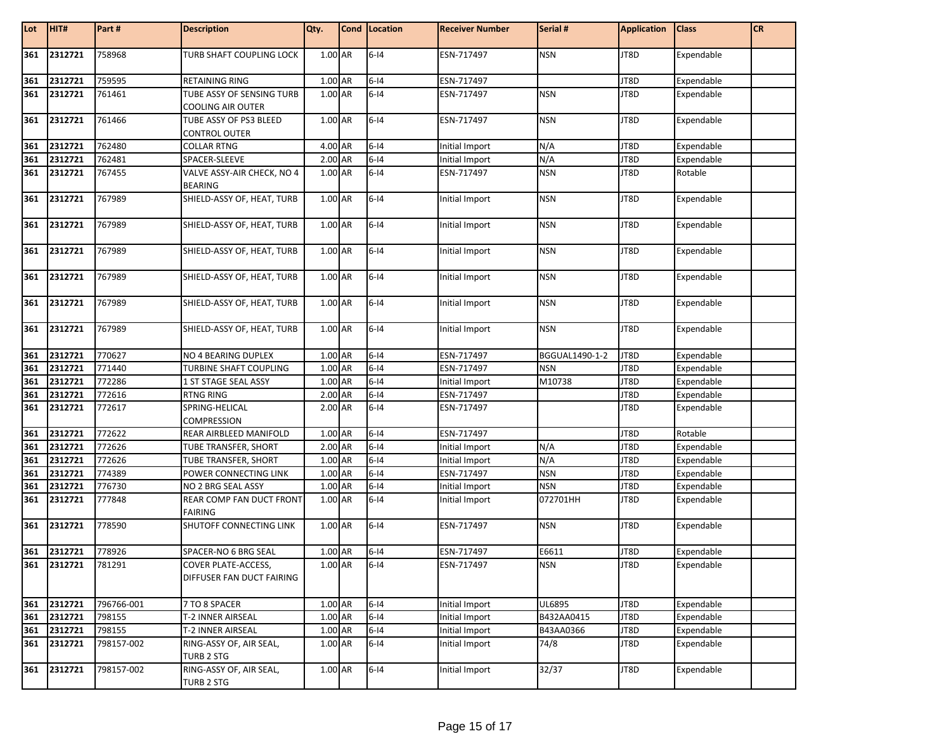| Lot | HIT#        | Part#      | <b>Description</b>                                    | Qty.      | Cond Location | <b>Receiver Number</b> | Serial #       | <b>Application</b> | <b>Class</b> | <b>CR</b> |
|-----|-------------|------------|-------------------------------------------------------|-----------|---------------|------------------------|----------------|--------------------|--------------|-----------|
| 361 | 2312721     | 758968     | TURB SHAFT COUPLING LOCK                              | $1.00$ AR | $6-14$        | ESN-717497             | <b>NSN</b>     | JT8D               | Expendable   |           |
| 361 | 2312721     | 759595     | RETAINING RING                                        | 1.00 AR   | $6-14$        | ESN-717497             |                | JT8D               | Expendable   |           |
| 361 | 2312721     | 761461     | TUBE ASSY OF SENSING TURB<br><b>COOLING AIR OUTER</b> | 1.00 AR   | $6-14$        | ESN-717497             | <b>NSN</b>     | JT8D               | Expendable   |           |
| 361 | 2312721     | 761466     | TUBE ASSY OF PS3 BLEED<br>CONTROL OUTER               | 1.00 AR   | $6-14$        | ESN-717497             | <b>NSN</b>     | JT8D               | Expendable   |           |
| 361 | 2312721     | 762480     | <b>COLLAR RTNG</b>                                    | 4.00 AR   | $6-14$        | Initial Import         | N/A            | JT8D               | Expendable   |           |
| 361 | 2312721     | 762481     | SPACER-SLEEVE                                         | 2.00 AR   | $6-14$        | Initial Import         | N/A            | JT8D               | Expendable   |           |
| 361 | 2312721     | 767455     | VALVE ASSY-AIR CHECK, NO 4<br><b>BEARING</b>          | 1.00 AR   | $6 - 14$      | ESN-717497             | <b>NSN</b>     | JT8D               | Rotable      |           |
| 361 | 2312721     | 767989     | SHIELD-ASSY OF, HEAT, TURB                            | 1.00 AR   | $6-14$        | Initial Import         | <b>NSN</b>     | JT8D               | Expendable   |           |
| 361 | 2312721     | 767989     | SHIELD-ASSY OF, HEAT, TURB                            | 1.00 AR   | $6-14$        | Initial Import         | <b>NSN</b>     | JT8D               | Expendable   |           |
| 361 | 2312721     | 767989     | SHIELD-ASSY OF, HEAT, TURB                            | 1.00 AR   | $6 - 14$      | Initial Import         | <b>NSN</b>     | JT8D               | Expendable   |           |
| 361 | 2312721     | 767989     | SHIELD-ASSY OF, HEAT, TURB                            | 1.00 AR   | $6-14$        | Initial Import         | <b>NSN</b>     | JT8D               | Expendable   |           |
| 361 | 2312721     | 767989     | SHIELD-ASSY OF, HEAT, TURB                            | 1.00 AR   | $6-14$        | Initial Import         | <b>NSN</b>     | JT8D               | Expendable   |           |
| 361 | 2312721     | 767989     | SHIELD-ASSY OF, HEAT, TURB                            | 1.00 AR   | $6 - 14$      | Initial Import         | <b>NSN</b>     | JT8D               | Expendable   |           |
| 361 | 2312721     | 770627     | NO 4 BEARING DUPLEX                                   | 1.00 AR   | $6-14$        | ESN-717497             | BGGUAL1490-1-2 | JT8D               | Expendable   |           |
| 361 | 2312721     | 771440     | TURBINE SHAFT COUPLING                                | 1.00 AR   | $6-14$        | ESN-717497             | <b>NSN</b>     | JT8D               | Expendable   |           |
| 361 | 2312721     | 772286     | 1 ST STAGE SEAL ASSY                                  | 1.00 AR   | $6-14$        | Initial Import         | M10738         | JT8D               | Expendable   |           |
| 361 | 2312721     | 772616     | <b>RTNG RING</b>                                      | 2.00 AR   | $6-14$        | ESN-717497             |                | JT8D               | Expendable   |           |
| 361 | 2312721     | 772617     | SPRING-HELICAL<br><b>COMPRESSION</b>                  | 2.00 AR   | $6-14$        | ESN-717497             |                | JT8D               | Expendable   |           |
| 361 | 2312721     | 772622     | REAR AIRBLEED MANIFOLD                                | 1.00 AR   | $6-14$        | ESN-717497             |                | JT8D               | Rotable      |           |
| 361 | 2312721     | 772626     | TUBE TRANSFER, SHORT                                  | 2.00 AR   | $6-14$        | Initial Import         | N/A            | JT8D               | Expendable   |           |
| 361 | 2312721     | 772626     | TUBE TRANSFER, SHORT                                  | 1.00 AR   | $6-14$        | Initial Import         | N/A            | JT8D               | Expendable   |           |
| 361 | 2312721     | 774389     | POWER CONNECTING LINK                                 | 1.00 AR   | $6-14$        | ESN-717497             | <b>NSN</b>     | JT8D               | Expendable   |           |
| 361 | 2312721     | 776730     | NO 2 BRG SEAL ASSY                                    | 1.00 AR   | $6 - 14$      | Initial Import         | <b>NSN</b>     | JT8D               | Expendable   |           |
| 361 | 2312721     | 777848     | REAR COMP FAN DUCT FRONT<br><b>FAIRING</b>            | 1.00 AR   | $6-14$        | Initial Import         | 072701HH       | JT8D               | Expendable   |           |
| 361 | 2312721     | 778590     | <b>SHUTOFF CONNECTING LINK</b>                        | 1.00 AR   | $6 - 14$      | ESN-717497             | <b>NSN</b>     | JT8D               | Expendable   |           |
| 361 | 2312721     | 778926     | SPACER-NO 6 BRG SEAL                                  | 1.00 AR   | $6-14$        | ESN-717497             | E6611          | JT8D               | Expendable   |           |
|     | 361 2312721 | 781291     | COVER PLATE-ACCESS,<br>DIFFUSER FAN DUCT FAIRING      | 1.00 AR   | $6 - 14$      | ESN-717497             | <b>NSN</b>     | JT8D               | Expendable   |           |
| 361 | 2312721     | 796766-001 | 7 TO 8 SPACER                                         | 1.00 AR   | $6-14$        | Initial Import         | UL6895         | JT8D               | Expendable   |           |
| 361 | 2312721     | 798155     | T-2 INNER AIRSEAL                                     | 1.00 AR   | $6 - 14$      | Initial Import         | B432AA0415     | JT8D               | Expendable   |           |
| 361 | 2312721     | 798155     | T-2 INNER AIRSEAL                                     | 1.00 AR   | $6-14$        | Initial Import         | B43AA0366      | JT8D               | Expendable   |           |
| 361 | 2312721     | 798157-002 | RING-ASSY OF, AIR SEAL,<br>TURB 2 STG                 | 1.00 AR   | $6 - 14$      | Initial Import         | 74/8           | JT8D               | Expendable   |           |
| 361 | 2312721     | 798157-002 | RING-ASSY OF, AIR SEAL,<br>TURB 2 STG                 | 1.00 AR   | $6 - 14$      | Initial Import         | 32/37          | JT8D               | Expendable   |           |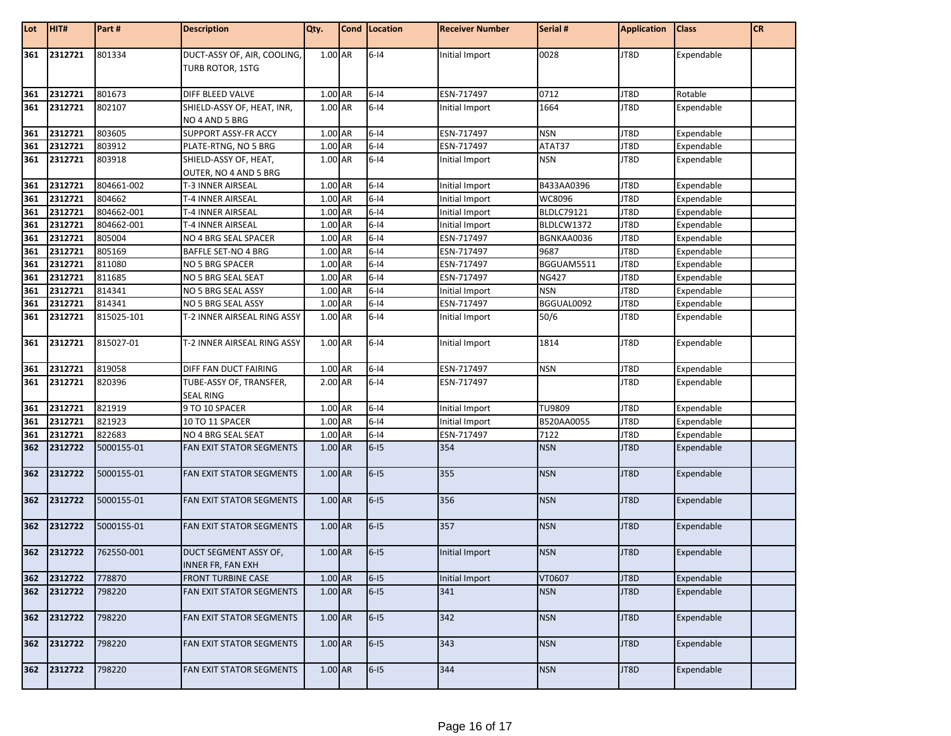| Lot        | HIT#                       | Part#      | <b>Description</b>                              | Qty.      | Cond Location | <b>Receiver Number</b> | Serial #          | <b>Application</b> | <b>Class</b> | <b>CR</b> |
|------------|----------------------------|------------|-------------------------------------------------|-----------|---------------|------------------------|-------------------|--------------------|--------------|-----------|
| 361        | 2312721                    | 801334     | DUCT-ASSY OF, AIR, COOLING,<br>TURB ROTOR, 1STG | 1.00 AR   | $6 - 14$      | Initial Import         | 0028              | JT8D               | Expendable   |           |
| 361        | 2312721                    | 801673     | DIFF BLEED VALVE                                | 1.00 AR   | $6-14$        | ESN-717497             | 0712              | JT8D               | Rotable      |           |
| 361        | 2312721                    | 802107     | SHIELD-ASSY OF, HEAT, INR,<br>NO 4 AND 5 BRG    | 1.00 AR   | $6-14$        | Initial Import         | 1664              | JT8D               | Expendable   |           |
| 361        | 2312721                    | 803605     | SUPPORT ASSY-FR ACCY                            | 1.00 AR   | $6 - 14$      | ESN-717497             | <b>NSN</b>        | JT8D               | Expendable   |           |
| 361        | 2312721                    | 803912     | PLATE-RTNG, NO 5 BRG                            | 1.00 AR   | $6 - 14$      | ESN-717497             | ATAT37            | JT8D               | Expendable   |           |
| 361        | 2312721                    | 803918     | SHIELD-ASSY OF, HEAT,<br>OUTER, NO 4 AND 5 BRG  | 1.00 AR   | $6-14$        | Initial Import         | <b>NSN</b>        | JT8D               | Expendable   |           |
| 361        | 2312721                    | 804661-002 | T-3 INNER AIRSEAL                               | 1.00 AR   | $6 - 14$      | Initial Import         | B433AA0396        | JT8D               | Expendable   |           |
| 361        | 2312721                    | 804662     | T-4 INNER AIRSEAL                               | 1.00 AR   | $6-14$        | Initial Import         | WC8096            | JT8D               | Expendable   |           |
| 361        | 2312721                    | 804662-001 | T-4 INNER AIRSEAL                               | 1.00 AR   | $6-14$        | Initial Import         | <b>BLDLC79121</b> | JT8D               | Expendable   |           |
|            | 2312721                    | 804662-001 | T-4 INNER AIRSEAL                               | 1.00 AR   | $6 - 14$      | Initial Import         | BLDLCW1372        | JT8D               | Expendable   |           |
| 361<br>361 | 2312721                    | 805004     | NO 4 BRG SEAL SPACER                            | 1.00 AR   | $6-14$        | ESN-717497             | BGNKAA0036        | JT8D               | Expendable   |           |
| 361        | 2312721                    | 805169     | <b>BAFFLE SET-NO 4 BRG</b>                      | 1.00 AR   | $6 - 14$      | ESN-717497             | 9687              | JT8D               | Expendable   |           |
| 361        | 2312721                    | 811080     | NO 5 BRG SPACER                                 | 1.00 AR   | $6-14$        | ESN-717497             | BGGUAM5511        | JT8D               | Expendable   |           |
| 361        | 2312721                    | 811685     | NO 5 BRG SEAL SEAT                              | $1.00$ AR | $6 - 14$      | ESN-717497             | <b>NG427</b>      | JT8D               | Expendable   |           |
| 361        | 2312721                    | 814341     | NO 5 BRG SEAL ASSY                              | 1.00 AR   | $6 - 14$      | Initial Import         | <b>NSN</b>        | JT8D               | Expendable   |           |
| 361        | 2312721                    | 814341     | NO 5 BRG SEAL ASSY                              | 1.00 AR   | $6-14$        | ESN-717497             | BGGUAL0092        | JT8D               | Expendable   |           |
| 361        | 2312721                    | 815025-101 | T-2 INNER AIRSEAL RING ASSY                     | 1.00 AR   | $6-14$        | Initial Import         | 50/6              | JT8D               | Expendable   |           |
| 361        | 2312721                    | 815027-01  | T-2 INNER AIRSEAL RING ASSY                     | 1.00 AR   | $6-14$        | Initial Import         | 1814              | JT8D               | Expendable   |           |
| 361        | 2312721                    | 819058     | DIFF FAN DUCT FAIRING                           | 1.00 AR   | $6-14$        | ESN-717497             | <b>NSN</b>        | JT8D               | Expendable   |           |
| 361        | 2312721                    | 820396     | TUBE-ASSY OF, TRANSFER,<br><b>SEAL RING</b>     | 2.00 AR   | $6-14$        | ESN-717497             |                   | JT8D               | Expendable   |           |
| 361        | 2312721                    | 821919     | 9 TO 10 SPACER                                  | 1.00 AR   | $6-14$        | Initial Import         | <b>TU9809</b>     | JT8D               | Expendable   |           |
| 361        | 2312721                    | 821923     | 10 TO 11 SPACER                                 | 1.00 AR   | $6 - 14$      | Initial Import         | B520AA0055        | JT8D               | Expendable   |           |
| 361        | 2312721                    | 822683     | NO 4 BRG SEAL SEAT                              | 1.00 AR   | $6 - 14$      | ESN-717497             | 7122              | JT8D               | Expendable   |           |
| 362        | 2312722                    | 5000155-01 | FAN EXIT STATOR SEGMENTS                        | $1.00$ AR | $6-15$        | 354                    | <b>NSN</b>        | JT8D               | Expendable   |           |
| 362        | 2312722                    | 5000155-01 | FAN EXIT STATOR SEGMENTS                        | 1.00 AR   | $6-15$        | 355                    | <b>NSN</b>        | JT8D               | Expendable   |           |
| 362        | 2312722                    | 5000155-01 | FAN EXIT STATOR SEGMENTS                        | 1.00 AR   | $6-15$        | 356                    | <b>NSN</b>        | JT8D               | Expendable   |           |
| 362        | 2312722                    | 5000155-01 | FAN EXIT STATOR SEGMENTS                        | 1.00 AR   | $6-15$        | 357                    | <b>NSN</b>        | JT8D               | Expendable   |           |
| 362        | 2312722                    | 762550-001 | DUCT SEGMENT ASSY OF,<br>INNER FR, FAN EXH      | 1.00 AR   | $6-15$        | Initial Import         | <b>NSN</b>        | JT8D               | Expendable   |           |
|            |                            | 778870     | <b>FRONT TURBINE CASE</b>                       | 1.00 AR   | $6-15$        | Initial Import         | VT0607            | JT8D               | Expendable   |           |
|            | 362 2312722<br>362 2312722 | 798220     | FAN EXIT STATOR SEGMENTS                        | 1.00 AR   | $6-15$        | 341                    | <b>NSN</b>        | JT8D               | Expendable   |           |
| 362        | 2312722                    | 798220     | FAN EXIT STATOR SEGMENTS                        | 1.00 AR   | $6-15$        | 342                    | <b>NSN</b>        | JT8D               | Expendable   |           |
| 362        | 2312722                    | 798220     | FAN EXIT STATOR SEGMENTS                        | 1.00 AR   | $6-15$        | 343                    | <b>NSN</b>        | JT8D               | Expendable   |           |
| 362        | 2312722                    | 798220     | FAN EXIT STATOR SEGMENTS                        | 1.00 AR   | $6-15$        | 344                    | <b>NSN</b>        | JT8D               | Expendable   |           |